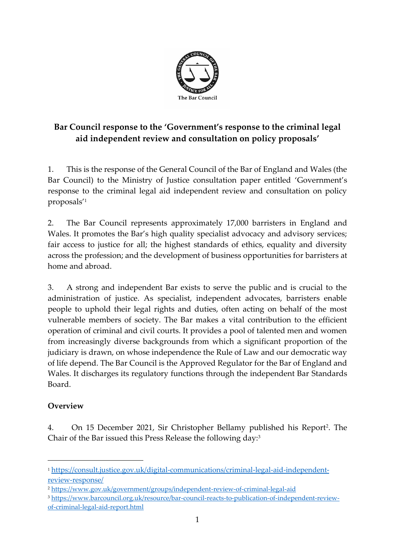

# **Bar Council response to the 'Government's response to the criminal legal aid independent review and consultation on policy proposals'**

1. This is the response of the General Council of the Bar of England and Wales (the Bar Council) to the Ministry of Justice consultation paper entitled 'Government's response to the criminal legal aid independent review and consultation on policy proposals' 1

2. The Bar Council represents approximately 17,000 barristers in England and Wales. It promotes the Bar's high quality specialist advocacy and advisory services; fair access to justice for all; the highest standards of ethics, equality and diversity across the profession; and the development of business opportunities for barristers at home and abroad.

3. A strong and independent Bar exists to serve the public and is crucial to the administration of justice. As specialist, independent advocates, barristers enable people to uphold their legal rights and duties, often acting on behalf of the most vulnerable members of society. The Bar makes a vital contribution to the efficient operation of criminal and civil courts. It provides a pool of talented men and women from increasingly diverse backgrounds from which a significant proportion of the judiciary is drawn, on whose independence the Rule of Law and our democratic way of life depend. The Bar Council is the Approved Regulator for the Bar of England and Wales. It discharges its regulatory functions through the independent Bar Standards Board.

## **Overview**

4. On 15 December 2021, Sir Christopher Bellamy published his Report<sup>2</sup> . The Chair of the Bar issued this Press Release the following day:<sup>3</sup>

<sup>1</sup> [https://consult.justice.gov.uk/digital-communications/criminal-legal-aid-independent](https://consult.justice.gov.uk/digital-communications/criminal-legal-aid-independent-review-response/)[review-response/](https://consult.justice.gov.uk/digital-communications/criminal-legal-aid-independent-review-response/)

<sup>2</sup> <https://www.gov.uk/government/groups/independent-review-of-criminal-legal-aid>

<sup>3</sup> [https://www.barcouncil.org.uk/resource/bar-council-reacts-to-publication-of-independent-review](https://www.barcouncil.org.uk/resource/bar-council-reacts-to-publication-of-independent-review-of-criminal-legal-aid-report.html)[of-criminal-legal-aid-report.html](https://www.barcouncil.org.uk/resource/bar-council-reacts-to-publication-of-independent-review-of-criminal-legal-aid-report.html)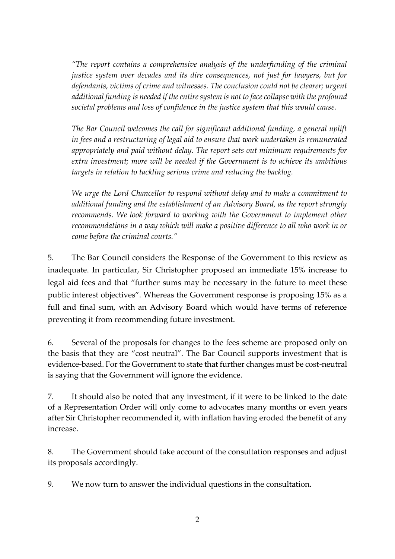*"The report contains a comprehensive analysis of the underfunding of the criminal justice system over decades and its dire consequences, not just for lawyers, but for defendants, victims of crime and witnesses. The conclusion could not be clearer; urgent additional funding is needed if the entire system is not to face collapse with the profound societal problems and loss of confidence in the justice system that this would cause.*

*The Bar Council welcomes the call for significant additional funding, a general uplift in fees and a restructuring of legal aid to ensure that work undertaken is remunerated appropriately and paid without delay. The report sets out minimum requirements for extra investment; more will be needed if the Government is to achieve its ambitious targets in relation to tackling serious crime and reducing the backlog.* 

*We urge the Lord Chancellor to respond without delay and to make a commitment to additional funding and the establishment of an Advisory Board, as the report strongly recommends. We look forward to working with the Government to implement other recommendations in a way which will make a positive difference to all who work in or come before the criminal courts."*

5. The Bar Council considers the Response of the Government to this review as inadequate. In particular, Sir Christopher proposed an immediate 15% increase to legal aid fees and that "further sums may be necessary in the future to meet these public interest objectives". Whereas the Government response is proposing 15% as a full and final sum, with an Advisory Board which would have terms of reference preventing it from recommending future investment.

6. Several of the proposals for changes to the fees scheme are proposed only on the basis that they are "cost neutral". The Bar Council supports investment that is evidence-based. For the Government to state that further changes must be cost-neutral is saying that the Government will ignore the evidence.

7. It should also be noted that any investment, if it were to be linked to the date of a Representation Order will only come to advocates many months or even years after Sir Christopher recommended it, with inflation having eroded the benefit of any increase.

8. The Government should take account of the consultation responses and adjust its proposals accordingly.

9. We now turn to answer the individual questions in the consultation.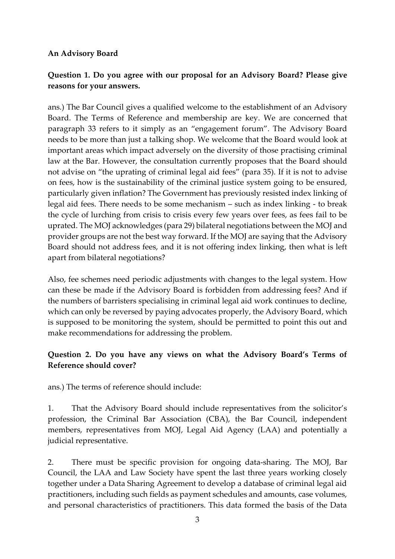#### **An Advisory Board**

## **Question 1. Do you agree with our proposal for an Advisory Board? Please give reasons for your answers.**

ans.) The Bar Council gives a qualified welcome to the establishment of an Advisory Board. The Terms of Reference and membership are key. We are concerned that paragraph 33 refers to it simply as an "engagement forum". The Advisory Board needs to be more than just a talking shop. We welcome that the Board would look at important areas which impact adversely on the diversity of those practising criminal law at the Bar. However, the consultation currently proposes that the Board should not advise on "the uprating of criminal legal aid fees" (para 35). If it is not to advise on fees, how is the sustainability of the criminal justice system going to be ensured, particularly given inflation? The Government has previously resisted index linking of legal aid fees. There needs to be some mechanism – such as index linking - to break the cycle of lurching from crisis to crisis every few years over fees, as fees fail to be uprated. The MOJ acknowledges (para 29) bilateral negotiations between the MOJ and provider groups are not the best way forward. If the MOJ are saying that the Advisory Board should not address fees, and it is not offering index linking, then what is left apart from bilateral negotiations?

Also, fee schemes need periodic adjustments with changes to the legal system. How can these be made if the Advisory Board is forbidden from addressing fees? And if the numbers of barristers specialising in criminal legal aid work continues to decline, which can only be reversed by paying advocates properly, the Advisory Board, which is supposed to be monitoring the system, should be permitted to point this out and make recommendations for addressing the problem.

## **Question 2. Do you have any views on what the Advisory Board's Terms of Reference should cover?**

ans.) The terms of reference should include:

1. That the Advisory Board should include representatives from the solicitor's profession, the Criminal Bar Association (CBA), the Bar Council, independent members, representatives from MOJ, Legal Aid Agency (LAA) and potentially a judicial representative.

2. There must be specific provision for ongoing data-sharing. The MOJ, Bar Council, the LAA and Law Society have spent the last three years working closely together under a Data Sharing Agreement to develop a database of criminal legal aid practitioners, including such fields as payment schedules and amounts, case volumes, and personal characteristics of practitioners. This data formed the basis of the Data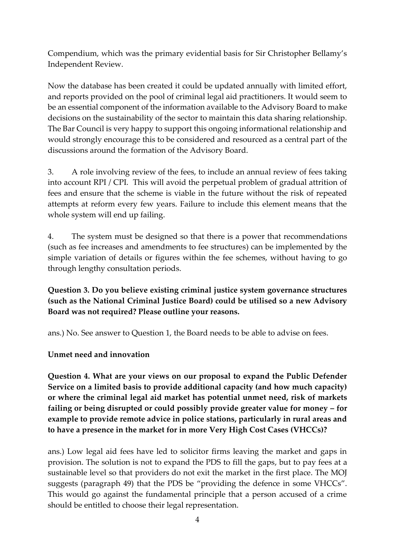Compendium, which was the primary evidential basis for Sir Christopher Bellamy's Independent Review.

Now the database has been created it could be updated annually with limited effort, and reports provided on the pool of criminal legal aid practitioners. It would seem to be an essential component of the information available to the Advisory Board to make decisions on the sustainability of the sector to maintain this data sharing relationship. The Bar Council is very happy to support this ongoing informational relationship and would strongly encourage this to be considered and resourced as a central part of the discussions around the formation of the Advisory Board.

3. A role involving review of the fees, to include an annual review of fees taking into account RPI / CPI. This will avoid the perpetual problem of gradual attrition of fees and ensure that the scheme is viable in the future without the risk of repeated attempts at reform every few years. Failure to include this element means that the whole system will end up failing.

4. The system must be designed so that there is a power that recommendations (such as fee increases and amendments to fee structures) can be implemented by the simple variation of details or figures within the fee schemes, without having to go through lengthy consultation periods.

**Question 3. Do you believe existing criminal justice system governance structures (such as the National Criminal Justice Board) could be utilised so a new Advisory Board was not required? Please outline your reasons.**

ans.) No. See answer to Question 1, the Board needs to be able to advise on fees.

**Unmet need and innovation**

**Question 4. What are your views on our proposal to expand the Public Defender Service on a limited basis to provide additional capacity (and how much capacity) or where the criminal legal aid market has potential unmet need, risk of markets failing or being disrupted or could possibly provide greater value for money – for example to provide remote advice in police stations, particularly in rural areas and to have a presence in the market for in more Very High Cost Cases (VHCCs)?**

ans.) Low legal aid fees have led to solicitor firms leaving the market and gaps in provision. The solution is not to expand the PDS to fill the gaps, but to pay fees at a sustainable level so that providers do not exit the market in the first place. The MOJ suggests (paragraph 49) that the PDS be "providing the defence in some VHCCs". This would go against the fundamental principle that a person accused of a crime should be entitled to choose their legal representation.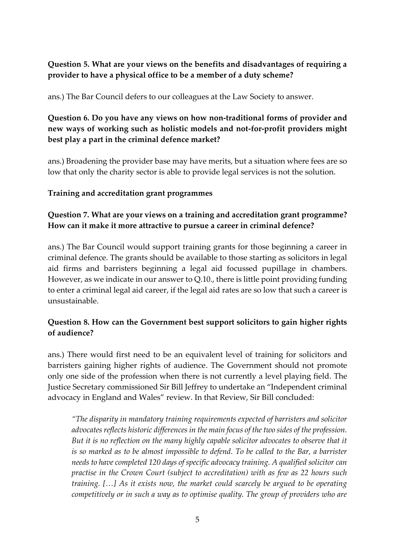## **Question 5. What are your views on the benefits and disadvantages of requiring a provider to have a physical office to be a member of a duty scheme?**

ans.) The Bar Council defers to our colleagues at the Law Society to answer.

## **Question 6. Do you have any views on how non-traditional forms of provider and new ways of working such as holistic models and not-for-profit providers might best play a part in the criminal defence market?**

ans.) Broadening the provider base may have merits, but a situation where fees are so low that only the charity sector is able to provide legal services is not the solution.

## **Training and accreditation grant programmes**

## **Question 7. What are your views on a training and accreditation grant programme? How can it make it more attractive to pursue a career in criminal defence?**

ans.) The Bar Council would support training grants for those beginning a career in criminal defence. The grants should be available to those starting as solicitors in legal aid firms and barristers beginning a legal aid focussed pupillage in chambers. However, as we indicate in our answer to Q.10., there is little point providing funding to enter a criminal legal aid career, if the legal aid rates are so low that such a career is unsustainable.

## **Question 8. How can the Government best support solicitors to gain higher rights of audience?**

ans.) There would first need to be an equivalent level of training for solicitors and barristers gaining higher rights of audience. The Government should not promote only one side of the profession when there is not currently a level playing field. The Justice Secretary commissioned Sir Bill Jeffrey to undertake an "Independent criminal advocacy in England and Wales" review. In that Review, Sir Bill concluded:

*"The disparity in mandatory training requirements expected of barristers and solicitor advocates reflects historic differences in the main focus of the two sides of the profession. But it is no reflection on the many highly capable solicitor advocates to observe that it is so marked as to be almost impossible to defend. To be called to the Bar, a barrister needs to have completed 120 days of specific advocacy training. A qualified solicitor can practise in the Crown Court (subject to accreditation) with as few as 22 hours such training. […] As it exists now, the market could scarcely be argued to be operating competitively or in such a way as to optimise quality. The group of providers who are*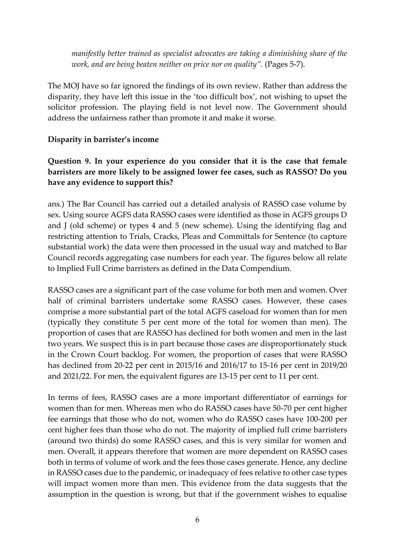*manifestly better trained as specialist advocates are taking a diminishing share of the work, and are being beaten neither on price nor on quality".* (Pages 5-7).

The MOJ have so far ignored the findings of its own review. Rather than address the disparity, they have left this issue in the 'too difficult box', not wishing to upset the solicitor profession. The playing field is not level now. The Government should address the unfairness rather than promote it and make it worse.

#### **Disparity in barrister's income**

### **Question 9. In your experience do you consider that it is the case that female barristers are more likely to be assigned lower fee cases, such as RASSO? Do you have any evidence to support this?**

ans.) The Bar Council has carried out a detailed analysis of RASSO case volume by sex. Using source AGFS data RASSO cases were identified as those in AGFS groups D and J (old scheme) or types 4 and 5 (new scheme). Using the identifying flag and restricting attention to Trials, Cracks, Pleas and Committals for Sentence (to capture substantial work) the data were then processed in the usual way and matched to Bar Council records aggregating case numbers for each year. The figures below all relate to Implied Full Crime barristers as defined in the Data Compendium.

RASSO cases are a significant part of the case volume for both men and women. Over half of criminal barristers undertake some RASSO cases. However, these cases comprise a more substantial part of the total AGFS caseload for women than for men (typically they constitute 5 per cent more of the total for women than men). The proportion of cases that are RASSO has declined for both women and men in the last two years. We suspect this is in part because those cases are disproportionately stuck in the Crown Court backlog. For women, the proportion of cases that were RASSO has declined from 20-22 per cent in 2015/16 and 2016/17 to 15-16 per cent in 2019/20 and 2021/22. For men, the equivalent figures are 13-15 per cent to 11 per cent.

In terms of fees, RASSO cases are a more important differentiator of earnings for women than for men. Whereas men who do RASSO cases have 50-70 per cent higher fee earnings that those who do not, women who do RASSO cases have 100-200 per cent higher fees than those who do not. The majority of implied full crime barristers (around two thirds) do some RASSO cases, and this is very similar for women and men. Overall, it appears therefore that women are more dependent on RASSO cases both in terms of volume of work and the fees those cases generate. Hence, any decline in RASSO cases due to the pandemic, or inadequacy of fees relative to other case types will impact women more than men. This evidence from the data suggests that the assumption in the question is wrong, but that if the government wishes to equalise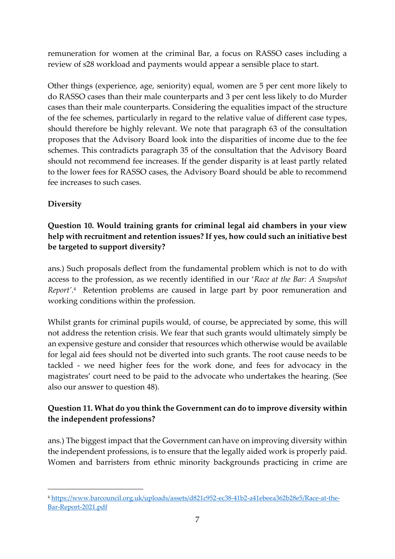remuneration for women at the criminal Bar, a focus on RASSO cases including a review of s28 workload and payments would appear a sensible place to start.

Other things (experience, age, seniority) equal, women are 5 per cent more likely to do RASSO cases than their male counterparts and 3 per cent less likely to do Murder cases than their male counterparts. Considering the equalities impact of the structure of the fee schemes, particularly in regard to the relative value of different case types, should therefore be highly relevant. We note that paragraph 63 of the consultation proposes that the Advisory Board look into the disparities of income due to the fee schemes. This contradicts paragraph 35 of the consultation that the Advisory Board should not recommend fee increases. If the gender disparity is at least partly related to the lower fees for RASSO cases, the Advisory Board should be able to recommend fee increases to such cases.

## **Diversity**

## **Question 10. Would training grants for criminal legal aid chambers in your view help with recruitment and retention issues? If yes, how could such an initiative best be targeted to support diversity?**

ans.) Such proposals deflect from the fundamental problem which is not to do with access to the profession, as we recently identified in our '*Race at the Bar: A Snapshot Report'*. <sup>4</sup> Retention problems are caused in large part by poor remuneration and working conditions within the profession.

Whilst grants for criminal pupils would, of course, be appreciated by some, this will not address the retention crisis. We fear that such grants would ultimately simply be an expensive gesture and consider that resources which otherwise would be available for legal aid fees should not be diverted into such grants. The root cause needs to be tackled - we need higher fees for the work done, and fees for advocacy in the magistrates' court need to be paid to the advocate who undertakes the hearing. (See also our answer to question 48).

## **Question 11. What do you think the Government can do to improve diversity within the independent professions?**

ans.) The biggest impact that the Government can have on improving diversity within the independent professions, is to ensure that the legally aided work is properly paid. Women and barristers from ethnic minority backgrounds practicing in crime are

<sup>4</sup> [https://www.barcouncil.org.uk/uploads/assets/d821c952-ec38-41b2-a41ebeea362b28e5/Race-at-the-](https://www.barcouncil.org.uk/uploads/assets/d821c952-ec38-41b2-a41ebeea362b28e5/Race-at-the-Bar-Report-2021.pdf)[Bar-Report-2021.pdf](https://www.barcouncil.org.uk/uploads/assets/d821c952-ec38-41b2-a41ebeea362b28e5/Race-at-the-Bar-Report-2021.pdf)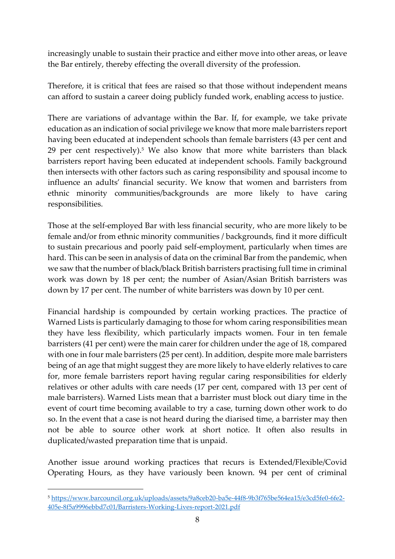increasingly unable to sustain their practice and either move into other areas, or leave the Bar entirely, thereby effecting the overall diversity of the profession.

Therefore, it is critical that fees are raised so that those without independent means can afford to sustain a career doing publicly funded work, enabling access to justice.

There are variations of advantage within the Bar. If, for example, we take private education as an indication of social privilege we know that more male barristers report having been educated at independent schools than female barristers (43 per cent and 29 per cent respectively).<sup>5</sup> We also know that more white barristers than black barristers report having been educated at independent schools. Family background then intersects with other factors such as caring responsibility and spousal income to influence an adults' financial security. We know that women and barristers from ethnic minority communities/backgrounds are more likely to have caring responsibilities.

Those at the self-employed Bar with less financial security, who are more likely to be female and/or from ethnic minority communities / backgrounds, find it more difficult to sustain precarious and poorly paid self-employment, particularly when times are hard. This can be seen in analysis of data on the criminal Bar from the pandemic, when we saw that the number of black/black British barristers practising full time in criminal work was down by 18 per cent; the number of Asian/Asian British barristers was down by 17 per cent. The number of white barristers was down by 10 per cent.

Financial hardship is compounded by certain working practices. The practice of Warned Lists is particularly damaging to those for whom caring responsibilities mean they have less flexibility, which particularly impacts women. Four in ten female barristers (41 per cent) were the main carer for children under the age of 18, compared with one in four male barristers (25 per cent). In addition, despite more male barristers being of an age that might suggest they are more likely to have elderly relatives to care for, more female barristers report having regular caring responsibilities for elderly relatives or other adults with care needs (17 per cent, compared with 13 per cent of male barristers). Warned Lists mean that a barrister must block out diary time in the event of court time becoming available to try a case, turning down other work to do so. In the event that a case is not heard during the diarised time, a barrister may then not be able to source other work at short notice. It often also results in duplicated/wasted preparation time that is unpaid.

Another issue around working practices that recurs is Extended/Flexible/Covid Operating Hours, as they have variously been known. 94 per cent of criminal

<sup>5</sup> [https://www.barcouncil.org.uk/uploads/assets/9a8ceb20-ba5e-44f8-9b3f765be564ea15/e3cd5fe0-6fe2-](https://www.barcouncil.org.uk/uploads/assets/9a8ceb20-ba5e-44f8-9b3f765be564ea15/e3cd5fe0-6fe2-405e-8f5a9996ebbd7c01/Barristers-Working-Lives-report-2021.pdf) [405e-8f5a9996ebbd7c01/Barristers-Working-Lives-report-2021.pdf](https://www.barcouncil.org.uk/uploads/assets/9a8ceb20-ba5e-44f8-9b3f765be564ea15/e3cd5fe0-6fe2-405e-8f5a9996ebbd7c01/Barristers-Working-Lives-report-2021.pdf)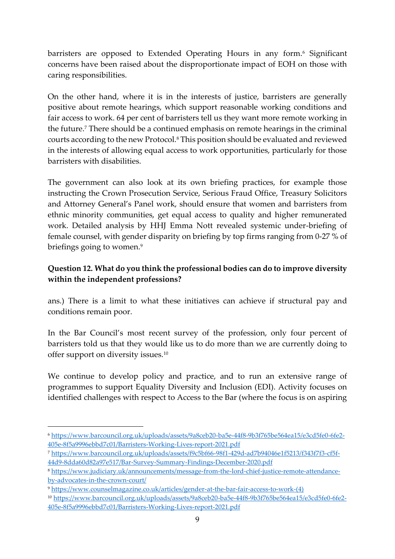barristers are opposed to Extended Operating Hours in any form.<sup>6</sup> Significant concerns have been raised about the disproportionate impact of EOH on those with caring responsibilities.

On the other hand, where it is in the interests of justice, barristers are generally positive about remote hearings, which support reasonable working conditions and fair access to work. 64 per cent of barristers tell us they want more remote working in the future. <sup>7</sup> There should be a continued emphasis on remote hearings in the criminal courts according to the new Protocol.<sup>8</sup> This position should be evaluated and reviewed in the interests of allowing equal access to work opportunities, particularly for those barristers with disabilities.

The government can also look at its own briefing practices, for example those instructing the Crown Prosecution Service, Serious Fraud Office, Treasury Solicitors and Attorney General's Panel work, should ensure that women and barristers from ethnic minority communities, get equal access to quality and higher remunerated work. Detailed analysis by HHJ Emma Nott revealed systemic under-briefing of female counsel, with gender disparity on briefing by top firms ranging from 0-27 % of briefings going to women.<sup>9</sup>

## **Question 12. What do you think the professional bodies can do to improve diversity within the independent professions?**

ans.) There is a limit to what these initiatives can achieve if structural pay and conditions remain poor.

In the Bar Council's most recent survey of the profession, only four percent of barristers told us that they would like us to do more than we are currently doing to offer support on diversity issues.<sup>10</sup>

We continue to develop policy and practice, and to run an extensive range of programmes to support Equality Diversity and Inclusion (EDI). Activity focuses on identified challenges with respect to Access to the Bar (where the focus is on aspiring

<sup>6</sup> [https://www.barcouncil.org.uk/uploads/assets/9a8ceb20-ba5e-44f8-9b3f765be564ea15/e3cd5fe0-6fe2-](https://www.barcouncil.org.uk/uploads/assets/9a8ceb20-ba5e-44f8-9b3f765be564ea15/e3cd5fe0-6fe2-405e-8f5a9996ebbd7c01/Barristers-Working-Lives-report-2021.pdf) [405e-8f5a9996ebbd7c01/Barristers-Working-Lives-report-2021.pdf](https://www.barcouncil.org.uk/uploads/assets/9a8ceb20-ba5e-44f8-9b3f765be564ea15/e3cd5fe0-6fe2-405e-8f5a9996ebbd7c01/Barristers-Working-Lives-report-2021.pdf)

<sup>7</sup> [https://www.barcouncil.org.uk/uploads/assets/f9c5bf66-98f1-429d-ad7b94046e1f5213/f343f7f3-cf5f-](https://www.barcouncil.org.uk/uploads/assets/f9c5bf66-98f1-429d-ad7b94046e1f5213/f343f7f3-cf5f-44d9-8dda60d82a97e517/Bar-Survey-Summary-Findings-December-2020.pdf)[44d9-8dda60d82a97e517/Bar-Survey-Summary-Findings-December-2020.pdf](https://www.barcouncil.org.uk/uploads/assets/f9c5bf66-98f1-429d-ad7b94046e1f5213/f343f7f3-cf5f-44d9-8dda60d82a97e517/Bar-Survey-Summary-Findings-December-2020.pdf)

<sup>8</sup> [https://www.judiciary.uk/announcements/message-from-the-lord-chief-justice-remote-attendance](https://www.judiciary.uk/announcements/message-from-the-lord-chief-justice-remote-attendance-by-advocates-in-the-crown-court/)[by-advocates-in-the-crown-court/](https://www.judiciary.uk/announcements/message-from-the-lord-chief-justice-remote-attendance-by-advocates-in-the-crown-court/)

<sup>9</sup> [https://www.counselmagazine.co.uk/articles/gender-at-the-bar-fair-access-to-work-\(4\)](https://www.counselmagazine.co.uk/articles/gender-at-the-bar-fair-access-to-work-(4))

<sup>10</sup> [https://www.barcouncil.org.uk/uploads/assets/9a8ceb20-ba5e-44f8-9b3f765be564ea15/e3cd5fe0-6fe2-](https://www.barcouncil.org.uk/uploads/assets/9a8ceb20-ba5e-44f8-9b3f765be564ea15/e3cd5fe0-6fe2-405e-8f5a9996ebbd7c01/Barristers-Working-Lives-report-2021.pdf) [405e-8f5a9996ebbd7c01/Barristers-Working-Lives-report-2021.pdf](https://www.barcouncil.org.uk/uploads/assets/9a8ceb20-ba5e-44f8-9b3f765be564ea15/e3cd5fe0-6fe2-405e-8f5a9996ebbd7c01/Barristers-Working-Lives-report-2021.pdf)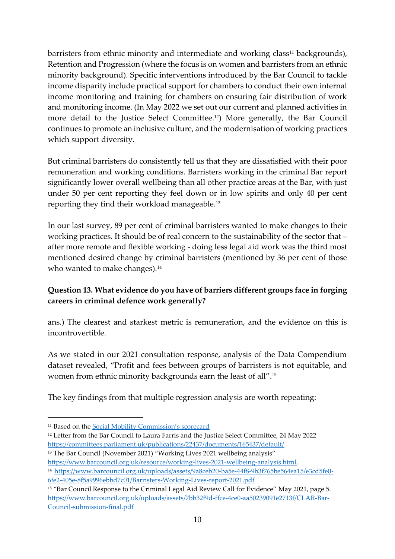barristers from ethnic minority and intermediate and working class<sup>11</sup> backgrounds), Retention and Progression (where the focus is on women and barristers from an ethnic minority background). Specific interventions introduced by the Bar Council to tackle income disparity include practical support for chambers to conduct their own internal income monitoring and training for chambers on ensuring fair distribution of work and monitoring income. (In May 2022 we set out our current and planned activities in more detail to the Justice Select Committee.12) More generally, the Bar Council continues to promote an inclusive culture, and the modernisation of working practices which support diversity.

But criminal barristers do consistently tell us that they are dissatisfied with their poor remuneration and working conditions. Barristers working in the criminal Bar report significantly lower overall wellbeing than all other practice areas at the Bar, with just under 50 per cent reporting they feel down or in low spirits and only 40 per cent reporting they find their workload manageable.<sup>13</sup>

In our last survey, 89 per cent of criminal barristers wanted to make changes to their working practices. It should be of real concern to the sustainability of the sector that – after more remote and flexible working - doing less legal aid work was the third most mentioned desired change by criminal barristers (mentioned by 36 per cent of those who wanted to make changes).<sup>14</sup>

## **Question 13. What evidence do you have of barriers different groups face in forging careers in criminal defence work generally?**

ans.) The clearest and starkest metric is remuneration, and the evidence on this is incontrovertible.

As we stated in our 2021 consultation response, analysis of the Data Compendium dataset revealed, "Profit and fees between groups of barristers is not equitable, and women from ethnic minority backgrounds earn the least of all".<sup>15</sup>

The key findings from that multiple regression analysis are worth repeating:

<sup>&</sup>lt;sup>11</sup> Based on the [Social Mobility Commission's scorecard](https://socialmobilityworks.org/toolkit/measurement/)

<sup>&</sup>lt;sup>12</sup> Letter from the Bar Council to Laura Farris and the Justice Select Committee, 24 May 2022 <https://committees.parliament.uk/publications/22437/documents/165437/default/>

**<sup>13</sup>** The Bar Council (November 2021) "Working Lives 2021 wellbeing analysis"

[https://www.barcouncil.org.uk/resource/working-lives-2021-wellbeing-analysis.html.](https://www.barcouncil.org.uk/resource/working-lives-2021-wellbeing-analysis.html)

<sup>14</sup> [https://www.barcouncil.org.uk/uploads/assets/9a8ceb20-ba5e-44f8-9b3f765be564ea15/e3cd5fe0-](https://www.barcouncil.org.uk/uploads/assets/9a8ceb20-ba5e-44f8-9b3f765be564ea15/e3cd5fe0-6fe2-405e-8f5a9996ebbd7c01/Barristers-Working-Lives-report-2021.pdf) [6fe2-405e-8f5a9996ebbd7c01/Barristers-Working-Lives-report-2021.pdf](https://www.barcouncil.org.uk/uploads/assets/9a8ceb20-ba5e-44f8-9b3f765be564ea15/e3cd5fe0-6fe2-405e-8f5a9996ebbd7c01/Barristers-Working-Lives-report-2021.pdf)

<sup>&</sup>lt;sup>15</sup> "Bar Council Response to the Criminal Legal Aid Review Call for Evidence" May 2021, page 5. [https://www.barcouncil.org.uk/uploads/assets/7bb32f9d-ffce-4ce0-aa50239091e2713f/CLAR-Bar-](https://www.barcouncil.org.uk/uploads/assets/7bb32f9d-ffce-4ce0-aa50239091e2713f/CLAR-Bar-Council-submission-final.pdf)[Council-submission-final.pdf](https://www.barcouncil.org.uk/uploads/assets/7bb32f9d-ffce-4ce0-aa50239091e2713f/CLAR-Bar-Council-submission-final.pdf)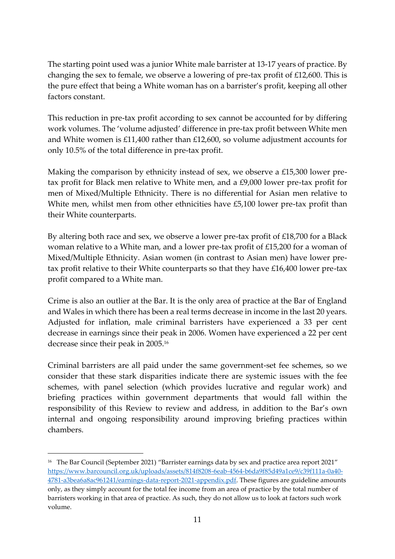The starting point used was a junior White male barrister at 13-17 years of practice. By changing the sex to female, we observe a lowering of pre-tax profit of £12,600. This is the pure effect that being a White woman has on a barrister's profit, keeping all other factors constant.

This reduction in pre-tax profit according to sex cannot be accounted for by differing work volumes. The 'volume adjusted' difference in pre-tax profit between White men and White women is £11,400 rather than £12,600, so volume adjustment accounts for only 10.5% of the total difference in pre-tax profit.

Making the comparison by ethnicity instead of sex, we observe a £15,300 lower pretax profit for Black men relative to White men, and a £9,000 lower pre-tax profit for men of Mixed/Multiple Ethnicity. There is no differential for Asian men relative to White men, whilst men from other ethnicities have £5,100 lower pre-tax profit than their White counterparts.

By altering both race and sex, we observe a lower pre-tax profit of £18,700 for a Black woman relative to a White man, and a lower pre-tax profit of £15,200 for a woman of Mixed/Multiple Ethnicity. Asian women (in contrast to Asian men) have lower pretax profit relative to their White counterparts so that they have £16,400 lower pre-tax profit compared to a White man.

Crime is also an outlier at the Bar. It is the only area of practice at the Bar of England and Wales in which there has been a real terms decrease in income in the last 20 years. Adjusted for inflation, male criminal barristers have experienced a 33 per cent decrease in earnings since their peak in 2006. Women have experienced a 22 per cent decrease since their peak in 2005.<sup>16</sup>

Criminal barristers are all paid under the same government-set fee schemes, so we consider that these stark disparities indicate there are systemic issues with the fee schemes, with panel selection (which provides lucrative and regular work) and briefing practices within government departments that would fall within the responsibility of this Review to review and address, in addition to the Bar's own internal and ongoing responsibility around improving briefing practices within chambers.

<sup>16</sup> The Bar Council (September 2021) "Barrister earnings data by sex and practice area report 2021" [https://www.barcouncil.org.uk/uploads/assets/814f8208-6eab-4564-b6da9f85d49a1ce9/c39f111a-0a40-](https://www.barcouncil.org.uk/uploads/assets/814f8208-6eab-4564-b6da9f85d49a1ce9/c39f111a-0a40-4781-a3bea6a8ac961241/earnings-data-report-2021-appendix.pdf) [4781-a3bea6a8ac961241/earnings-data-report-2021-appendix.pdf.](https://www.barcouncil.org.uk/uploads/assets/814f8208-6eab-4564-b6da9f85d49a1ce9/c39f111a-0a40-4781-a3bea6a8ac961241/earnings-data-report-2021-appendix.pdf) These figures are guideline amounts only, as they simply account for the total fee income from an area of practice by the total number of barristers working in that area of practice. As such, they do not allow us to look at factors such work volume.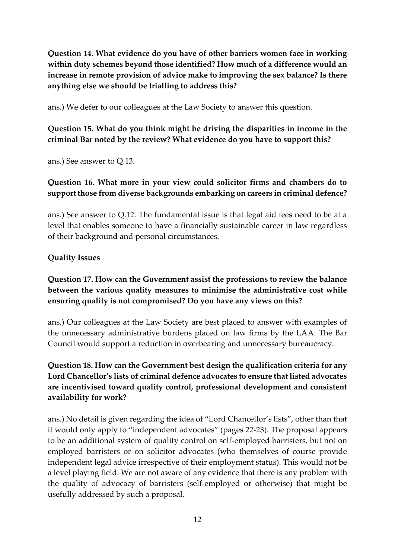**Question 14. What evidence do you have of other barriers women face in working within duty schemes beyond those identified? How much of a difference would an increase in remote provision of advice make to improving the sex balance? Is there anything else we should be trialling to address this?**

ans.) We defer to our colleagues at the Law Society to answer this question.

## **Question 15. What do you think might be driving the disparities in income in the criminal Bar noted by the review? What evidence do you have to support this?**

ans.) See answer to Q.13.

## **Question 16. What more in your view could solicitor firms and chambers do to support those from diverse backgrounds embarking on careers in criminal defence?**

ans.) See answer to Q.12. The fundamental issue is that legal aid fees need to be at a level that enables someone to have a financially sustainable career in law regardless of their background and personal circumstances.

### **Quality Issues**

## **Question 17. How can the Government assist the professions to review the balance between the various quality measures to minimise the administrative cost while ensuring quality is not compromised? Do you have any views on this?**

ans.) Our colleagues at the Law Society are best placed to answer with examples of the unnecessary administrative burdens placed on law firms by the LAA. The Bar Council would support a reduction in overbearing and unnecessary bureaucracy.

## **Question 18. How can the Government best design the qualification criteria for any Lord Chancellor's lists of criminal defence advocates to ensure that listed advocates are incentivised toward quality control, professional development and consistent availability for work?**

ans.) No detail is given regarding the idea of "Lord Chancellor's lists", other than that it would only apply to "independent advocates" (pages 22-23). The proposal appears to be an additional system of quality control on self-employed barristers, but not on employed barristers or on solicitor advocates (who themselves of course provide independent legal advice irrespective of their employment status). This would not be a level playing field. We are not aware of any evidence that there is any problem with the quality of advocacy of barristers (self-employed or otherwise) that might be usefully addressed by such a proposal.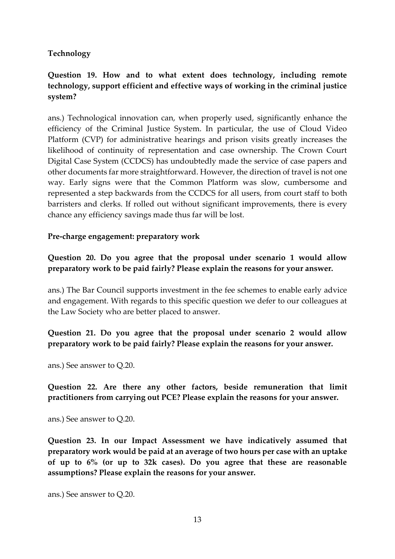#### **Technology**

## **Question 19. How and to what extent does technology, including remote technology, support efficient and effective ways of working in the criminal justice system?**

ans.) Technological innovation can, when properly used, significantly enhance the efficiency of the Criminal Justice System. In particular, the use of Cloud Video Platform (CVP) for administrative hearings and prison visits greatly increases the likelihood of continuity of representation and case ownership. The Crown Court Digital Case System (CCDCS) has undoubtedly made the service of case papers and other documents far more straightforward. However, the direction of travel is not one way. Early signs were that the Common Platform was slow, cumbersome and represented a step backwards from the CCDCS for all users, from court staff to both barristers and clerks. If rolled out without significant improvements, there is every chance any efficiency savings made thus far will be lost.

#### **Pre-charge engagement: preparatory work**

**Question 20. Do you agree that the proposal under scenario 1 would allow preparatory work to be paid fairly? Please explain the reasons for your answer.**

ans.) The Bar Council supports investment in the fee schemes to enable early advice and engagement. With regards to this specific question we defer to our colleagues at the Law Society who are better placed to answer.

## **Question 21. Do you agree that the proposal under scenario 2 would allow preparatory work to be paid fairly? Please explain the reasons for your answer.**

ans.) See answer to Q.20.

**Question 22. Are there any other factors, beside remuneration that limit practitioners from carrying out PCE? Please explain the reasons for your answer.**

ans.) See answer to Q.20.

**Question 23. In our Impact Assessment we have indicatively assumed that preparatory work would be paid at an average of two hours per case with an uptake of up to 6% (or up to 32k cases). Do you agree that these are reasonable assumptions? Please explain the reasons for your answer.**

ans.) See answer to Q.20.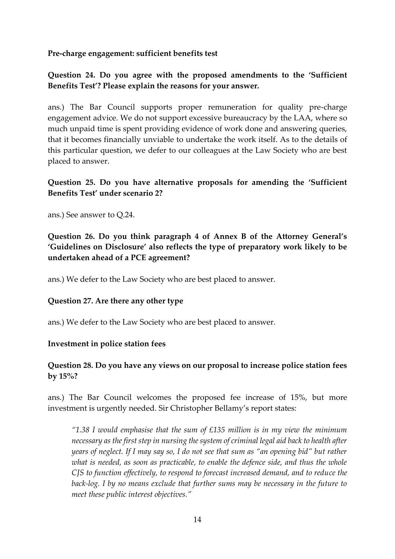**Pre-charge engagement: sufficient benefits test**

## **Question 24. Do you agree with the proposed amendments to the 'Sufficient Benefits Test'? Please explain the reasons for your answer.**

ans.) The Bar Council supports proper remuneration for quality pre-charge engagement advice. We do not support excessive bureaucracy by the LAA, where so much unpaid time is spent providing evidence of work done and answering queries, that it becomes financially unviable to undertake the work itself. As to the details of this particular question, we defer to our colleagues at the Law Society who are best placed to answer.

### **Question 25. Do you have alternative proposals for amending the 'Sufficient Benefits Test' under scenario 2?**

ans.) See answer to Q.24.

**Question 26. Do you think paragraph 4 of Annex B of the Attorney General's 'Guidelines on Disclosure' also reflects the type of preparatory work likely to be undertaken ahead of a PCE agreement?**

ans.) We defer to the Law Society who are best placed to answer.

#### **Question 27. Are there any other type**

ans.) We defer to the Law Society who are best placed to answer.

#### **Investment in police station fees**

### **Question 28. Do you have any views on our proposal to increase police station fees by 15%?**

ans.) The Bar Council welcomes the proposed fee increase of 15%, but more investment is urgently needed. Sir Christopher Bellamy's report states:

*"1.38 I would emphasise that the sum of £135 million is in my view the minimum necessary as the first step in nursing the system of criminal legal aid back to health after years of neglect. If I may say so, I do not see that sum as "an opening bid" but rather what is needed, as soon as practicable, to enable the defence side, and thus the whole CJS to function effectively, to respond to forecast increased demand, and to reduce the back-log. I by no means exclude that further sums may be necessary in the future to meet these public interest objectives."*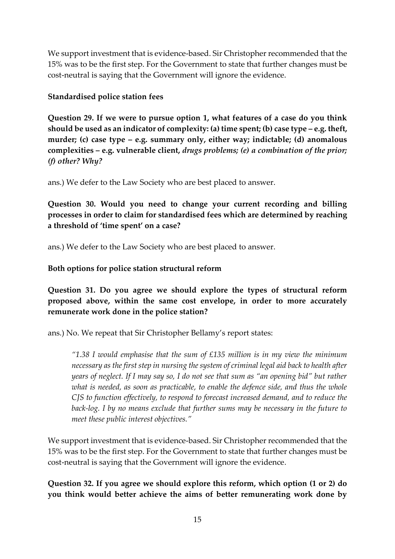We support investment that is evidence-based. Sir Christopher recommended that the 15% was to be the first step. For the Government to state that further changes must be cost-neutral is saying that the Government will ignore the evidence.

### **Standardised police station fees**

**Question 29. If we were to pursue option 1, what features of a case do you think should be used as an indicator of complexity: (a) time spent; (b) case type – e.g. theft, murder; (c) case type – e.g. summary only, either way; indictable; (d) anomalous complexities – e.g. vulnerable client,** *drugs problems; (e) a combination of the prior; (f) other? Why?*

ans.) We defer to the Law Society who are best placed to answer.

**Question 30. Would you need to change your current recording and billing processes in order to claim for standardised fees which are determined by reaching a threshold of 'time spent' on a case?**

ans.) We defer to the Law Society who are best placed to answer.

### **Both options for police station structural reform**

**Question 31. Do you agree we should explore the types of structural reform proposed above, within the same cost envelope, in order to more accurately remunerate work done in the police station?**

ans.) No. We repeat that Sir Christopher Bellamy's report states:

*"1.38 I would emphasise that the sum of £135 million is in my view the minimum necessary as the first step in nursing the system of criminal legal aid back to health after years of neglect. If I may say so, I do not see that sum as "an opening bid" but rather what is needed, as soon as practicable, to enable the defence side, and thus the whole CJS to function effectively, to respond to forecast increased demand, and to reduce the back-log. I by no means exclude that further sums may be necessary in the future to meet these public interest objectives."*

We support investment that is evidence-based. Sir Christopher recommended that the 15% was to be the first step. For the Government to state that further changes must be cost-neutral is saying that the Government will ignore the evidence.

**Question 32. If you agree we should explore this reform, which option (1 or 2) do you think would better achieve the aims of better remunerating work done by**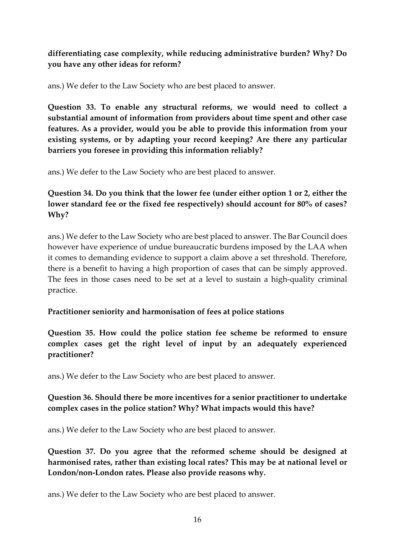### **differentiating case complexity, while reducing administrative burden? Why? Do you have any other ideas for reform?**

ans.) We defer to the Law Society who are best placed to answer.

**Question 33. To enable any structural reforms, we would need to collect a substantial amount of information from providers about time spent and other case features. As a provider, would you be able to provide this information from your existing systems, or by adapting your record keeping? Are there any particular barriers you foresee in providing this information reliably?**

ans.) We defer to the Law Society who are best placed to answer.

## **Question 34. Do you think that the lower fee (under either option 1 or 2, either the lower standard fee or the fixed fee respectively) should account for 80% of cases? Why?**

ans.) We defer to the Law Society who are best placed to answer. The Bar Council does however have experience of undue bureaucratic burdens imposed by the LAA when it comes to demanding evidence to support a claim above a set threshold. Therefore, there is a benefit to having a high proportion of cases that can be simply approved. The fees in those cases need to be set at a level to sustain a high-quality criminal practice.

#### **Practitioner seniority and harmonisation of fees at police stations**

**Question 35. How could the police station fee scheme be reformed to ensure complex cases get the right level of input by an adequately experienced practitioner?**

ans.) We defer to the Law Society who are best placed to answer.

### **Question 36. Should there be more incentives for a senior practitioner to undertake complex cases in the police station? Why? What impacts would this have?**

ans.) We defer to the Law Society who are best placed to answer.

**Question 37. Do you agree that the reformed scheme should be designed at harmonised rates, rather than existing local rates? This may be at national level or London/non-London rates. Please also provide reasons why.**

ans.) We defer to the Law Society who are best placed to answer.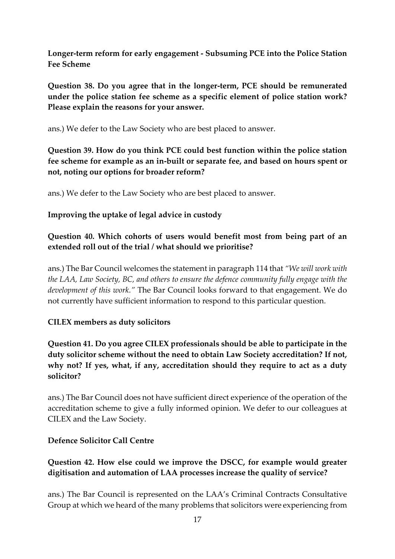**Longer-term reform for early engagement - Subsuming PCE into the Police Station Fee Scheme**

**Question 38. Do you agree that in the longer-term, PCE should be remunerated under the police station fee scheme as a specific element of police station work? Please explain the reasons for your answer.**

ans.) We defer to the Law Society who are best placed to answer.

**Question 39. How do you think PCE could best function within the police station fee scheme for example as an in-built or separate fee, and based on hours spent or not, noting our options for broader reform?**

ans.) We defer to the Law Society who are best placed to answer.

#### **Improving the uptake of legal advice in custody**

**Question 40. Which cohorts of users would benefit most from being part of an extended roll out of the trial / what should we prioritise?**

ans.) The Bar Council welcomes the statement in paragraph 114 that *"We will work with the LAA, Law Society, BC, and others to ensure the defence community fully engage with the development of this work."* The Bar Council looks forward to that engagement. We do not currently have sufficient information to respond to this particular question.

#### **CILEX members as duty solicitors**

**Question 41. Do you agree CILEX professionals should be able to participate in the duty solicitor scheme without the need to obtain Law Society accreditation? If not, why not? If yes, what, if any, accreditation should they require to act as a duty solicitor?**

ans.) The Bar Council does not have sufficient direct experience of the operation of the accreditation scheme to give a fully informed opinion. We defer to our colleagues at CILEX and the Law Society.

#### **Defence Solicitor Call Centre**

### **Question 42. How else could we improve the DSCC, for example would greater digitisation and automation of LAA processes increase the quality of service?**

ans.) The Bar Council is represented on the LAA's Criminal Contracts Consultative Group at which we heard of the many problems that solicitors were experiencing from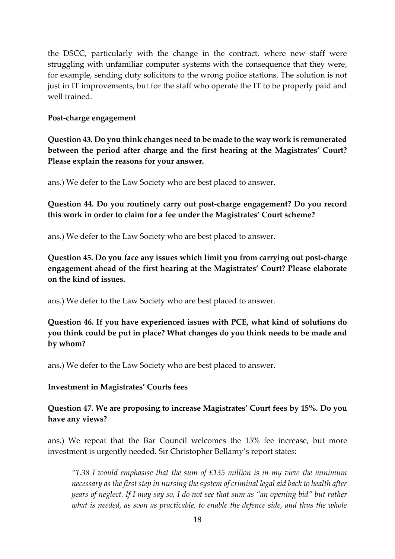the DSCC, particularly with the change in the contract, where new staff were struggling with unfamiliar computer systems with the consequence that they were, for example, sending duty solicitors to the wrong police stations. The solution is not just in IT improvements, but for the staff who operate the IT to be properly paid and well trained.

#### **Post-charge engagement**

**Question 43. Do you think changes need to be made to the way work is remunerated between the period after charge and the first hearing at the Magistrates' Court? Please explain the reasons for your answer.**

ans.) We defer to the Law Society who are best placed to answer.

### **Question 44. Do you routinely carry out post-charge engagement? Do you record this work in order to claim for a fee under the Magistrates' Court scheme?**

ans.) We defer to the Law Society who are best placed to answer.

**Question 45. Do you face any issues which limit you from carrying out post-charge engagement ahead of the first hearing at the Magistrates' Court? Please elaborate on the kind of issues.**

ans.) We defer to the Law Society who are best placed to answer.

**Question 46. If you have experienced issues with PCE, what kind of solutions do you think could be put in place? What changes do you think needs to be made and by whom?**

ans.) We defer to the Law Society who are best placed to answer.

#### **Investment in Magistrates' Courts fees**

**Question 47. We are proposing to increase Magistrates' Court fees by 15%. Do you have any views?**

ans.) We repeat that the Bar Council welcomes the 15% fee increase, but more investment is urgently needed. Sir Christopher Bellamy's report states:

*"1.38 I would emphasise that the sum of £135 million is in my view the minimum necessary as the first step in nursing the system of criminal legal aid back to health after years of neglect. If I may say so, I do not see that sum as "an opening bid" but rather what is needed, as soon as practicable, to enable the defence side, and thus the whole*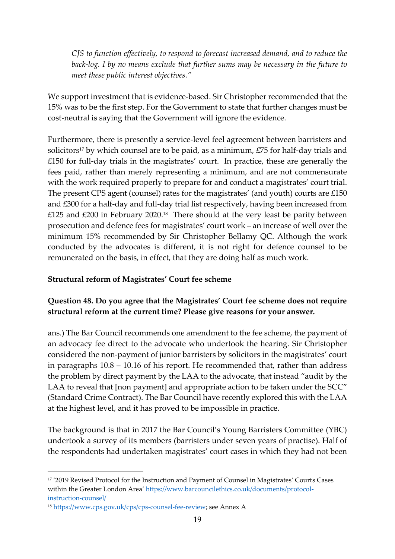*CJS to function effectively, to respond to forecast increased demand, and to reduce the back-log. I by no means exclude that further sums may be necessary in the future to meet these public interest objectives."*

We support investment that is evidence-based. Sir Christopher recommended that the 15% was to be the first step. For the Government to state that further changes must be cost-neutral is saying that the Government will ignore the evidence.

Furthermore, there is presently a service-level feel agreement between barristers and solicitors<sup>17</sup> by which counsel are to be paid, as a minimum, £75 for half-day trials and £150 for full-day trials in the magistrates' court. In practice, these are generally the fees paid, rather than merely representing a minimum, and are not commensurate with the work required properly to prepare for and conduct a magistrates' court trial. The present CPS agent (counsel) rates for the magistrates' (and youth) courts are £150 and £300 for a half-day and full-day trial list respectively, having been increased from £125 and £200 in February 2020.<sup>18</sup> There should at the very least be parity between prosecution and defence fees for magistrates' court work – an increase of well over the minimum 15% recommended by Sir Christopher Bellamy QC. Although the work conducted by the advocates is different, it is not right for defence counsel to be remunerated on the basis, in effect, that they are doing half as much work.

#### **Structural reform of Magistrates' Court fee scheme**

### **Question 48. Do you agree that the Magistrates' Court fee scheme does not require structural reform at the current time? Please give reasons for your answer.**

ans.) The Bar Council recommends one amendment to the fee scheme, the payment of an advocacy fee direct to the advocate who undertook the hearing. Sir Christopher considered the non-payment of junior barristers by solicitors in the magistrates' court in paragraphs 10.8 – 10.16 of his report. He recommended that, rather than address the problem by direct payment by the LAA to the advocate, that instead "audit by the LAA to reveal that [non payment] and appropriate action to be taken under the SCC" (Standard Crime Contract). The Bar Council have recently explored this with the LAA at the highest level, and it has proved to be impossible in practice.

The background is that in 2017 the Bar Council's Young Barristers Committee (YBC) undertook a survey of its members (barristers under seven years of practise). Half of the respondents had undertaken magistrates' court cases in which they had not been

<sup>&</sup>lt;sup>17</sup> '2019 Revised Protocol for the Instruction and Payment of Counsel in Magistrates' Courts Cases within the Greater London Area' [https://www.barcouncilethics.co.uk/documents/protocol](https://protect-eu.mimecast.com/s/VvmdCY6rKug3YBu9mj7B?domain=barcouncilethics.co.uk/)[instruction-counsel/](https://protect-eu.mimecast.com/s/VvmdCY6rKug3YBu9mj7B?domain=barcouncilethics.co.uk/)

<sup>18</sup> [https://www.cps.gov.uk/cps/cps-counsel-fee-review;](https://www.cps.gov.uk/cps/cps-counsel-fee-review) see Annex A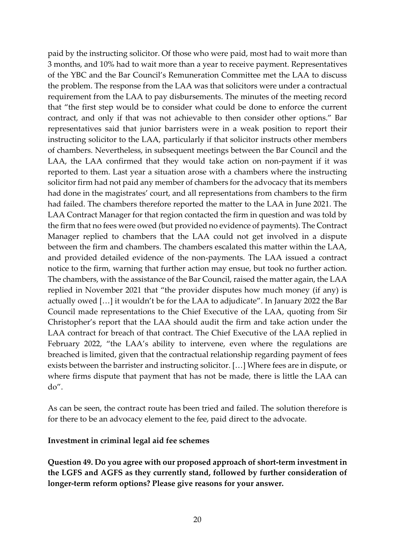paid by the instructing solicitor. Of those who were paid, most had to wait more than 3 months, and 10% had to wait more than a year to receive payment. Representatives of the YBC and the Bar Council's Remuneration Committee met the LAA to discuss the problem. The response from the LAA was that solicitors were under a contractual requirement from the LAA to pay disbursements. The minutes of the meeting record that "the first step would be to consider what could be done to enforce the current contract, and only if that was not achievable to then consider other options." Bar representatives said that junior barristers were in a weak position to report their instructing solicitor to the LAA, particularly if that solicitor instructs other members of chambers. Nevertheless, in subsequent meetings between the Bar Council and the LAA, the LAA confirmed that they would take action on non-payment if it was reported to them. Last year a situation arose with a chambers where the instructing solicitor firm had not paid any member of chambers for the advocacy that its members had done in the magistrates' court, and all representations from chambers to the firm had failed. The chambers therefore reported the matter to the LAA in June 2021. The LAA Contract Manager for that region contacted the firm in question and was told by the firm that no fees were owed (but provided no evidence of payments). The Contract Manager replied to chambers that the LAA could not get involved in a dispute between the firm and chambers. The chambers escalated this matter within the LAA, and provided detailed evidence of the non-payments. The LAA issued a contract notice to the firm, warning that further action may ensue, but took no further action. The chambers, with the assistance of the Bar Council, raised the matter again, the LAA replied in November 2021 that "the provider disputes how much money (if any) is actually owed […] it wouldn't be for the LAA to adjudicate". In January 2022 the Bar Council made representations to the Chief Executive of the LAA, quoting from Sir Christopher's report that the LAA should audit the firm and take action under the LAA contract for breach of that contract. The Chief Executive of the LAA replied in February 2022, "the LAA's ability to intervene, even where the regulations are breached is limited, given that the contractual relationship regarding payment of fees exists between the barrister and instructing solicitor. […] Where fees are in dispute, or where firms dispute that payment that has not be made, there is little the LAA can do".

As can be seen, the contract route has been tried and failed. The solution therefore is for there to be an advocacy element to the fee, paid direct to the advocate.

#### **Investment in criminal legal aid fee schemes**

**Question 49. Do you agree with our proposed approach of short-term investment in the LGFS and AGFS as they currently stand, followed by further consideration of longer-term reform options? Please give reasons for your answer.**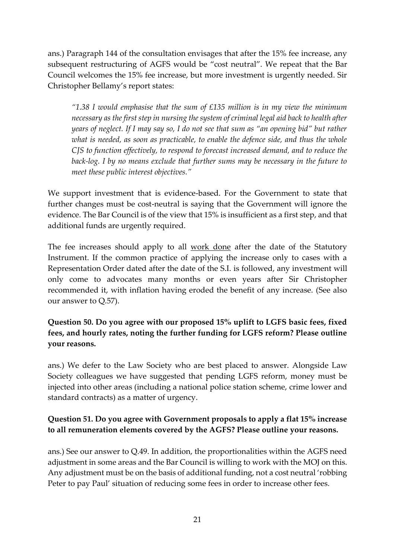ans.) Paragraph 144 of the consultation envisages that after the 15% fee increase, any subsequent restructuring of AGFS would be "cost neutral". We repeat that the Bar Council welcomes the 15% fee increase, but more investment is urgently needed. Sir Christopher Bellamy's report states:

*"1.38 I would emphasise that the sum of £135 million is in my view the minimum necessary as the first step in nursing the system of criminal legal aid back to health after years of neglect. If I may say so, I do not see that sum as "an opening bid" but rather what is needed, as soon as practicable, to enable the defence side, and thus the whole CJS to function effectively, to respond to forecast increased demand, and to reduce the back-log. I by no means exclude that further sums may be necessary in the future to meet these public interest objectives."*

We support investment that is evidence-based. For the Government to state that further changes must be cost-neutral is saying that the Government will ignore the evidence. The Bar Council is of the view that 15% is insufficient as a first step, and that additional funds are urgently required.

The fee increases should apply to all work done after the date of the Statutory Instrument. If the common practice of applying the increase only to cases with a Representation Order dated after the date of the S.I. is followed, any investment will only come to advocates many months or even years after Sir Christopher recommended it, with inflation having eroded the benefit of any increase. (See also our answer to Q.57).

**Question 50. Do you agree with our proposed 15% uplift to LGFS basic fees, fixed fees, and hourly rates, noting the further funding for LGFS reform? Please outline your reasons.**

ans.) We defer to the Law Society who are best placed to answer. Alongside Law Society colleagues we have suggested that pending LGFS reform, money must be injected into other areas (including a national police station scheme, crime lower and standard contracts) as a matter of urgency.

### **Question 51. Do you agree with Government proposals to apply a flat 15% increase to all remuneration elements covered by the AGFS? Please outline your reasons.**

ans.) See our answer to Q.49. In addition, the proportionalities within the AGFS need adjustment in some areas and the Bar Council is willing to work with the MOJ on this. Any adjustment must be on the basis of additional funding, not a cost neutral 'robbing Peter to pay Paul' situation of reducing some fees in order to increase other fees.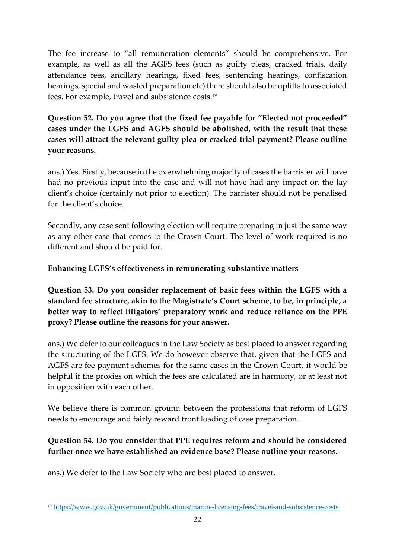The fee increase to "all remuneration elements" should be comprehensive. For example, as well as all the AGFS fees (such as guilty pleas, cracked trials, daily attendance fees, ancillary hearings, fixed fees, sentencing hearings, confiscation hearings, special and wasted preparation etc) there should also be uplifts to associated fees. For example, travel and subsistence costs. 19

## **Question 52. Do you agree that the fixed fee payable for "Elected not proceeded" cases under the LGFS and AGFS should be abolished, with the result that these cases will attract the relevant guilty plea or cracked trial payment? Please outline your reasons.**

ans.) Yes. Firstly, because in the overwhelming majority of cases the barrister will have had no previous input into the case and will not have had any impact on the lay client's choice (certainly not prior to election). The barrister should not be penalised for the client's choice.

Secondly, any case sent following election will require preparing in just the same way as any other case that comes to the Crown Court. The level of work required is no different and should be paid for.

## **Enhancing LGFS's effectiveness in remunerating substantive matters**

**Question 53. Do you consider replacement of basic fees within the LGFS with a standard fee structure, akin to the Magistrate's Court scheme, to be, in principle, a better way to reflect litigators' preparatory work and reduce reliance on the PPE proxy? Please outline the reasons for your answer.**

ans.) We defer to our colleagues in the Law Society as best placed to answer regarding the structuring of the LGFS. We do however observe that, given that the LGFS and AGFS are fee payment schemes for the same cases in the Crown Court, it would be helpful if the proxies on which the fees are calculated are in harmony, or at least not in opposition with each other.

We believe there is common ground between the professions that reform of LGFS needs to encourage and fairly reward front loading of case preparation.

## **Question 54. Do you consider that PPE requires reform and should be considered further once we have established an evidence base? Please outline your reasons.**

ans.) We defer to the Law Society who are best placed to answer.

<sup>19</sup> <https://www.gov.uk/government/publications/marine-licensing-fees/travel-and-subsistence-costs>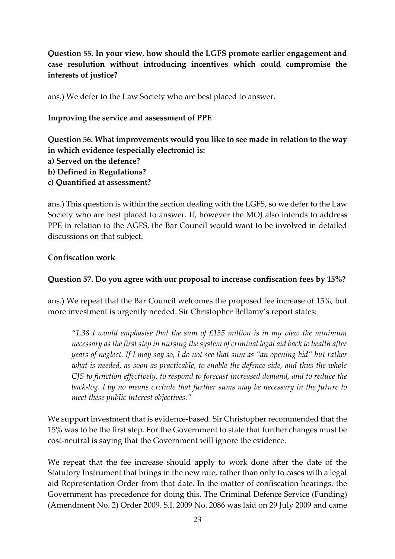**Question 55. In your view, how should the LGFS promote earlier engagement and case resolution without introducing incentives which could compromise the interests of justice?**

ans.) We defer to the Law Society who are best placed to answer.

**Improving the service and assessment of PPE**

**Question 56. What improvements would you like to see made in relation to the way in which evidence (especially electronic) is: a) Served on the defence? b) Defined in Regulations? c) Quantified at assessment?**

ans.) This question is within the section dealing with the LGFS, so we defer to the Law Society who are best placed to answer. If, however the MOJ also intends to address PPE in relation to the AGFS, the Bar Council would want to be involved in detailed discussions on that subject.

### **Confiscation work**

### **Question 57. Do you agree with our proposal to increase confiscation fees by 15%?**

ans.) We repeat that the Bar Council welcomes the proposed fee increase of 15%, but more investment is urgently needed. Sir Christopher Bellamy's report states:

*"1.38 I would emphasise that the sum of £135 million is in my view the minimum necessary as the first step in nursing the system of criminal legal aid back to health after years of neglect. If I may say so, I do not see that sum as "an opening bid" but rather what is needed, as soon as practicable, to enable the defence side, and thus the whole CJS to function effectively, to respond to forecast increased demand, and to reduce the back-log. I by no means exclude that further sums may be necessary in the future to meet these public interest objectives."*

We support investment that is evidence-based. Sir Christopher recommended that the 15% was to be the first step. For the Government to state that further changes must be cost-neutral is saying that the Government will ignore the evidence.

We repeat that the fee increase should apply to work done after the date of the Statutory Instrument that brings in the new rate, rather than only to cases with a legal aid Representation Order from that date. In the matter of confiscation hearings, the Government has precedence for doing this. The Criminal Defence Service (Funding) (Amendment No. 2) Order 2009. S.I. 2009 No. 2086 was laid on 29 July 2009 and came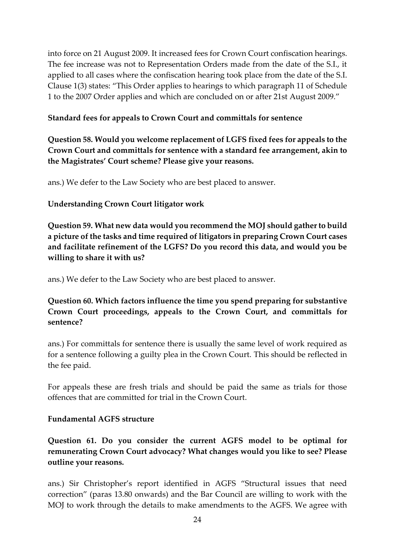into force on 21 August 2009. It increased fees for Crown Court confiscation hearings. The fee increase was not to Representation Orders made from the date of the S.I., it applied to all cases where the confiscation hearing took place from the date of the S.I. Clause 1(3) states: "This Order applies to hearings to which paragraph 11 of Schedule 1 to the 2007 Order applies and which are concluded on or after 21st August 2009."

#### **Standard fees for appeals to Crown Court and committals for sentence**

**Question 58. Would you welcome replacement of LGFS fixed fees for appeals to the Crown Court and committals for sentence with a standard fee arrangement, akin to the Magistrates' Court scheme? Please give your reasons.**

ans.) We defer to the Law Society who are best placed to answer.

#### **Understanding Crown Court litigator work**

**Question 59. What new data would you recommend the MOJ should gather to build a picture of the tasks and time required of litigators in preparing Crown Court cases and facilitate refinement of the LGFS? Do you record this data, and would you be willing to share it with us?**

ans.) We defer to the Law Society who are best placed to answer.

**Question 60. Which factors influence the time you spend preparing for substantive Crown Court proceedings, appeals to the Crown Court, and committals for sentence?**

ans.) For committals for sentence there is usually the same level of work required as for a sentence following a guilty plea in the Crown Court. This should be reflected in the fee paid.

For appeals these are fresh trials and should be paid the same as trials for those offences that are committed for trial in the Crown Court.

#### **Fundamental AGFS structure**

**Question 61. Do you consider the current AGFS model to be optimal for remunerating Crown Court advocacy? What changes would you like to see? Please outline your reasons.**

ans.) Sir Christopher's report identified in AGFS "Structural issues that need correction" (paras 13.80 onwards) and the Bar Council are willing to work with the MOJ to work through the details to make amendments to the AGFS. We agree with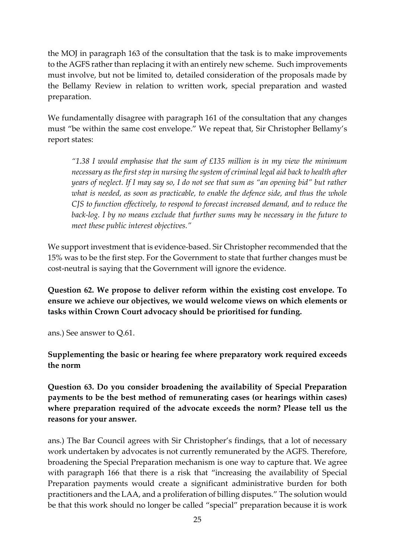the MOJ in paragraph 163 of the consultation that the task is to make improvements to the AGFS rather than replacing it with an entirely new scheme. Such improvements must involve, but not be limited to, detailed consideration of the proposals made by the Bellamy Review in relation to written work, special preparation and wasted preparation.

We fundamentally disagree with paragraph 161 of the consultation that any changes must "be within the same cost envelope." We repeat that, Sir Christopher Bellamy's report states:

*"1.38 I would emphasise that the sum of £135 million is in my view the minimum necessary as the first step in nursing the system of criminal legal aid back to health after years of neglect. If I may say so, I do not see that sum as "an opening bid" but rather what is needed, as soon as practicable, to enable the defence side, and thus the whole CJS to function effectively, to respond to forecast increased demand, and to reduce the back-log. I by no means exclude that further sums may be necessary in the future to meet these public interest objectives."*

We support investment that is evidence-based. Sir Christopher recommended that the 15% was to be the first step. For the Government to state that further changes must be cost-neutral is saying that the Government will ignore the evidence.

**Question 62. We propose to deliver reform within the existing cost envelope. To ensure we achieve our objectives, we would welcome views on which elements or tasks within Crown Court advocacy should be prioritised for funding.**

ans.) See answer to Q.61.

**Supplementing the basic or hearing fee where preparatory work required exceeds the norm**

**Question 63. Do you consider broadening the availability of Special Preparation payments to be the best method of remunerating cases (or hearings within cases) where preparation required of the advocate exceeds the norm? Please tell us the reasons for your answer.**

ans.) The Bar Council agrees with Sir Christopher's findings, that a lot of necessary work undertaken by advocates is not currently remunerated by the AGFS. Therefore, broadening the Special Preparation mechanism is one way to capture that. We agree with paragraph 166 that there is a risk that "increasing the availability of Special Preparation payments would create a significant administrative burden for both practitioners and the LAA, and a proliferation of billing disputes." The solution would be that this work should no longer be called "special" preparation because it is work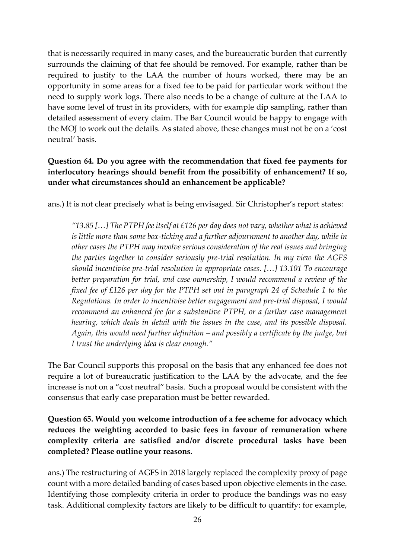that is necessarily required in many cases, and the bureaucratic burden that currently surrounds the claiming of that fee should be removed. For example, rather than be required to justify to the LAA the number of hours worked, there may be an opportunity in some areas for a fixed fee to be paid for particular work without the need to supply work logs. There also needs to be a change of culture at the LAA to have some level of trust in its providers, with for example dip sampling, rather than detailed assessment of every claim. The Bar Council would be happy to engage with the MOJ to work out the details. As stated above, these changes must not be on a 'cost neutral' basis.

## **Question 64. Do you agree with the recommendation that fixed fee payments for interlocutory hearings should benefit from the possibility of enhancement? If so, under what circumstances should an enhancement be applicable?**

ans.) It is not clear precisely what is being envisaged. Sir Christopher's report states:

*"13.85 […] The PTPH fee itself at £126 per day does not vary, whether what is achieved is little more than some box-ticking and a further adjournment to another day, while in other cases the PTPH may involve serious consideration of the real issues and bringing the parties together to consider seriously pre-trial resolution. In my view the AGFS should incentivise pre-trial resolution in appropriate cases. […] 13.101 To encourage better preparation for trial, and case ownership, I would recommend a review of the fixed fee of £126 per day for the PTPH set out in paragraph 24 of Schedule 1 to the Regulations. In order to incentivise better engagement and pre-trial disposal, I would recommend an enhanced fee for a substantive PTPH, or a further case management hearing, which deals in detail with the issues in the case, and its possible disposal. Again, this would need further definition – and possibly a certificate by the judge, but I trust the underlying idea is clear enough."*

The Bar Council supports this proposal on the basis that any enhanced fee does not require a lot of bureaucratic justification to the LAA by the advocate, and the fee increase is not on a "cost neutral" basis. Such a proposal would be consistent with the consensus that early case preparation must be better rewarded.

**Question 65. Would you welcome introduction of a fee scheme for advocacy which reduces the weighting accorded to basic fees in favour of remuneration where complexity criteria are satisfied and/or discrete procedural tasks have been completed? Please outline your reasons.**

ans.) The restructuring of AGFS in 2018 largely replaced the complexity proxy of page count with a more detailed banding of cases based upon objective elements in the case. Identifying those complexity criteria in order to produce the bandings was no easy task. Additional complexity factors are likely to be difficult to quantify: for example,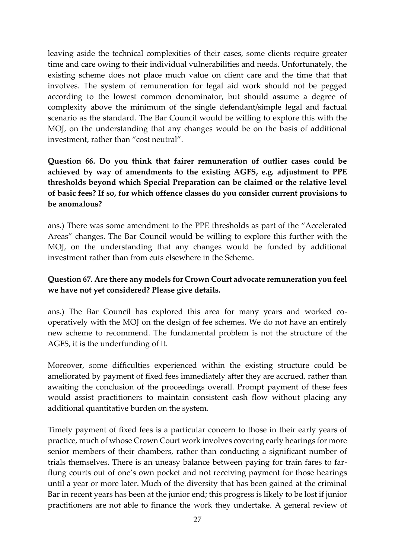leaving aside the technical complexities of their cases, some clients require greater time and care owing to their individual vulnerabilities and needs. Unfortunately, the existing scheme does not place much value on client care and the time that that involves. The system of remuneration for legal aid work should not be pegged according to the lowest common denominator, but should assume a degree of complexity above the minimum of the single defendant/simple legal and factual scenario as the standard. The Bar Council would be willing to explore this with the MOJ, on the understanding that any changes would be on the basis of additional investment, rather than "cost neutral".

## **Question 66. Do you think that fairer remuneration of outlier cases could be achieved by way of amendments to the existing AGFS, e.g. adjustment to PPE thresholds beyond which Special Preparation can be claimed or the relative level of basic fees? If so, for which offence classes do you consider current provisions to be anomalous?**

ans.) There was some amendment to the PPE thresholds as part of the "Accelerated Areas" changes. The Bar Council would be willing to explore this further with the MOJ, on the understanding that any changes would be funded by additional investment rather than from cuts elsewhere in the Scheme.

## **Question 67. Are there any models for Crown Court advocate remuneration you feel we have not yet considered? Please give details.**

ans.) The Bar Council has explored this area for many years and worked cooperatively with the MOJ on the design of fee schemes. We do not have an entirely new scheme to recommend. The fundamental problem is not the structure of the AGFS, it is the underfunding of it.

Moreover, some difficulties experienced within the existing structure could be ameliorated by payment of fixed fees immediately after they are accrued, rather than awaiting the conclusion of the proceedings overall. Prompt payment of these fees would assist practitioners to maintain consistent cash flow without placing any additional quantitative burden on the system.

Timely payment of fixed fees is a particular concern to those in their early years of practice, much of whose Crown Court work involves covering early hearings for more senior members of their chambers, rather than conducting a significant number of trials themselves. There is an uneasy balance between paying for train fares to farflung courts out of one's own pocket and not receiving payment for those hearings until a year or more later. Much of the diversity that has been gained at the criminal Bar in recent years has been at the junior end; this progress is likely to be lost if junior practitioners are not able to finance the work they undertake. A general review of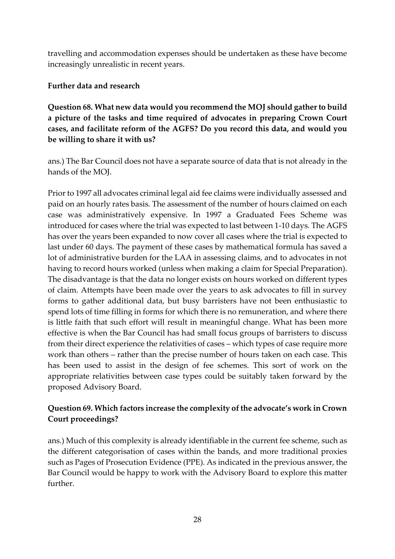travelling and accommodation expenses should be undertaken as these have become increasingly unrealistic in recent years.

#### **Further data and research**

**Question 68. What new data would you recommend the MOJ should gather to build a picture of the tasks and time required of advocates in preparing Crown Court cases, and facilitate reform of the AGFS? Do you record this data, and would you be willing to share it with us?**

ans.) The Bar Council does not have a separate source of data that is not already in the hands of the MOJ.

Prior to 1997 all advocates criminal legal aid fee claims were individually assessed and paid on an hourly rates basis. The assessment of the number of hours claimed on each case was administratively expensive. In 1997 a Graduated Fees Scheme was introduced for cases where the trial was expected to last between 1-10 days. The AGFS has over the years been expanded to now cover all cases where the trial is expected to last under 60 days. The payment of these cases by mathematical formula has saved a lot of administrative burden for the LAA in assessing claims, and to advocates in not having to record hours worked (unless when making a claim for Special Preparation). The disadvantage is that the data no longer exists on hours worked on different types of claim. Attempts have been made over the years to ask advocates to fill in survey forms to gather additional data, but busy barristers have not been enthusiastic to spend lots of time filling in forms for which there is no remuneration, and where there is little faith that such effort will result in meaningful change. What has been more effective is when the Bar Council has had small focus groups of barristers to discuss from their direct experience the relativities of cases – which types of case require more work than others – rather than the precise number of hours taken on each case. This has been used to assist in the design of fee schemes. This sort of work on the appropriate relativities between case types could be suitably taken forward by the proposed Advisory Board.

### **Question 69. Which factors increase the complexity of the advocate's work in Crown Court proceedings?**

ans.) Much of this complexity is already identifiable in the current fee scheme, such as the different categorisation of cases within the bands, and more traditional proxies such as Pages of Prosecution Evidence (PPE). As indicated in the previous answer, the Bar Council would be happy to work with the Advisory Board to explore this matter further.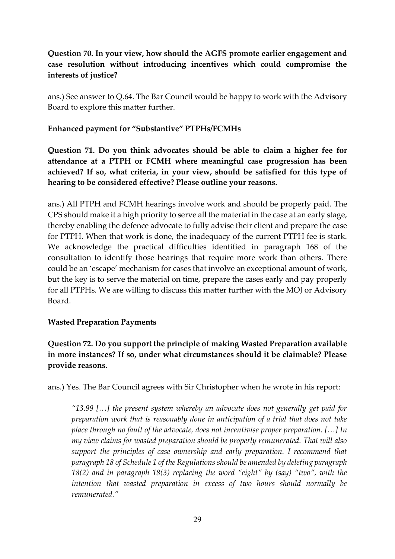## **Question 70. In your view, how should the AGFS promote earlier engagement and case resolution without introducing incentives which could compromise the interests of justice?**

ans.) See answer to Q.64. The Bar Council would be happy to work with the Advisory Board to explore this matter further.

#### **Enhanced payment for "Substantive" PTPHs/FCMHs**

**Question 71. Do you think advocates should be able to claim a higher fee for attendance at a PTPH or FCMH where meaningful case progression has been achieved? If so, what criteria, in your view, should be satisfied for this type of hearing to be considered effective? Please outline your reasons.**

ans.) All PTPH and FCMH hearings involve work and should be properly paid. The CPS should make it a high priority to serve all the material in the case at an early stage, thereby enabling the defence advocate to fully advise their client and prepare the case for PTPH. When that work is done, the inadequacy of the current PTPH fee is stark. We acknowledge the practical difficulties identified in paragraph 168 of the consultation to identify those hearings that require more work than others. There could be an 'escape' mechanism for cases that involve an exceptional amount of work, but the key is to serve the material on time, prepare the cases early and pay properly for all PTPHs. We are willing to discuss this matter further with the MOJ or Advisory Board.

#### **Wasted Preparation Payments**

**Question 72. Do you support the principle of making Wasted Preparation available in more instances? If so, under what circumstances should it be claimable? Please provide reasons.**

ans.) Yes. The Bar Council agrees with Sir Christopher when he wrote in his report:

*"13.99 […] the present system whereby an advocate does not generally get paid for preparation work that is reasonably done in anticipation of a trial that does not take place through no fault of the advocate, does not incentivise proper preparation. […] In my view claims for wasted preparation should be properly remunerated. That will also support the principles of case ownership and early preparation. I recommend that paragraph 18 of Schedule 1 of the Regulations should be amended by deleting paragraph 18(2) and in paragraph 18(3) replacing the word "eight" by (say) "two", with the intention that wasted preparation in excess of two hours should normally be remunerated."*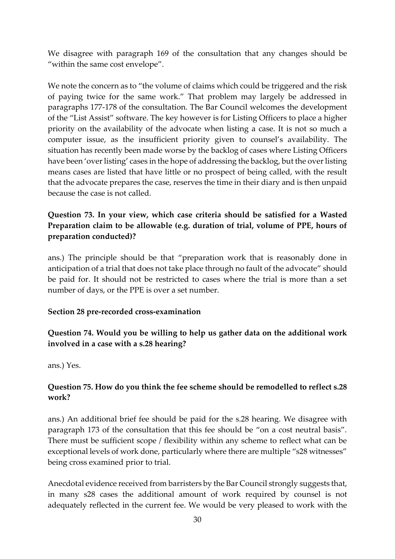We disagree with paragraph 169 of the consultation that any changes should be "within the same cost envelope".

We note the concern as to "the volume of claims which could be triggered and the risk of paying twice for the same work." That problem may largely be addressed in paragraphs 177-178 of the consultation. The Bar Council welcomes the development of the "List Assist" software. The key however is for Listing Officers to place a higher priority on the availability of the advocate when listing a case. It is not so much a computer issue, as the insufficient priority given to counsel's availability. The situation has recently been made worse by the backlog of cases where Listing Officers have been 'over listing' cases in the hope of addressing the backlog, but the over listing means cases are listed that have little or no prospect of being called, with the result that the advocate prepares the case, reserves the time in their diary and is then unpaid because the case is not called.

## **Question 73. In your view, which case criteria should be satisfied for a Wasted Preparation claim to be allowable (e.g. duration of trial, volume of PPE, hours of preparation conducted)?**

ans.) The principle should be that "preparation work that is reasonably done in anticipation of a trial that does not take place through no fault of the advocate" should be paid for. It should not be restricted to cases where the trial is more than a set number of days, or the PPE is over a set number.

#### **Section 28 pre-recorded cross-examination**

## **Question 74. Would you be willing to help us gather data on the additional work involved in a case with a s.28 hearing?**

ans.) Yes.

### **Question 75. How do you think the fee scheme should be remodelled to reflect s.28 work?**

ans.) An additional brief fee should be paid for the s.28 hearing. We disagree with paragraph 173 of the consultation that this fee should be "on a cost neutral basis". There must be sufficient scope / flexibility within any scheme to reflect what can be exceptional levels of work done, particularly where there are multiple "s28 witnesses" being cross examined prior to trial.

Anecdotal evidence received from barristers by the Bar Council strongly suggests that, in many s28 cases the additional amount of work required by counsel is not adequately reflected in the current fee. We would be very pleased to work with the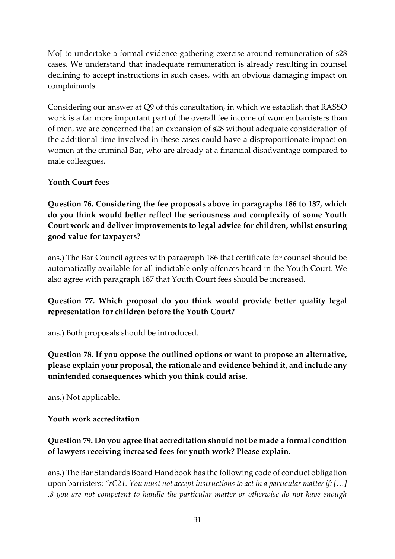MoJ to undertake a formal evidence-gathering exercise around remuneration of s28 cases. We understand that inadequate remuneration is already resulting in counsel declining to accept instructions in such cases, with an obvious damaging impact on complainants.

Considering our answer at Q9 of this consultation, in which we establish that RASSO work is a far more important part of the overall fee income of women barristers than of men, we are concerned that an expansion of s28 without adequate consideration of the additional time involved in these cases could have a disproportionate impact on women at the criminal Bar, who are already at a financial disadvantage compared to male colleagues.

### **Youth Court fees**

**Question 76. Considering the fee proposals above in paragraphs 186 to 187, which do you think would better reflect the seriousness and complexity of some Youth Court work and deliver improvements to legal advice for children, whilst ensuring good value for taxpayers?**

ans.) The Bar Council agrees with paragraph 186 that certificate for counsel should be automatically available for all indictable only offences heard in the Youth Court. We also agree with paragraph 187 that Youth Court fees should be increased.

### **Question 77. Which proposal do you think would provide better quality legal representation for children before the Youth Court?**

ans.) Both proposals should be introduced.

**Question 78. If you oppose the outlined options or want to propose an alternative, please explain your proposal, the rationale and evidence behind it, and include any unintended consequences which you think could arise.**

ans.) Not applicable.

#### **Youth work accreditation**

## **Question 79. Do you agree that accreditation should not be made a formal condition of lawyers receiving increased fees for youth work? Please explain.**

ans.) The Bar Standards Board Handbook has the following code of conduct obligation upon barristers: *"rC21. You must not accept instructions to act in a particular matter if: […] .8 you are not competent to handle the particular matter or otherwise do not have enough*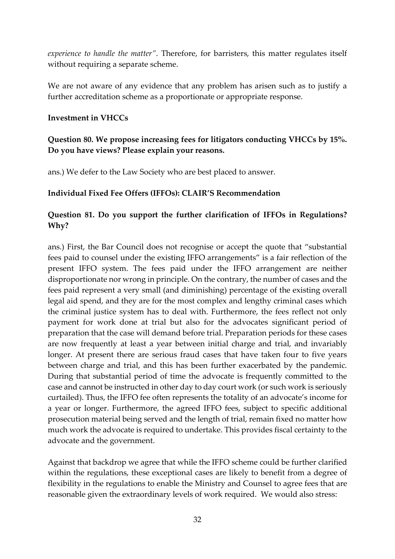*experience to handle the matter"*. Therefore, for barristers, this matter regulates itself without requiring a separate scheme.

We are not aware of any evidence that any problem has arisen such as to justify a further accreditation scheme as a proportionate or appropriate response.

#### **Investment in VHCCs**

### **Question 80. We propose increasing fees for litigators conducting VHCCs by 15%. Do you have views? Please explain your reasons.**

ans.) We defer to the Law Society who are best placed to answer.

#### **Individual Fixed Fee Offers (IFFOs): CLAIR'S Recommendation**

### **Question 81. Do you support the further clarification of IFFOs in Regulations? Why?**

ans.) First, the Bar Council does not recognise or accept the quote that "substantial fees paid to counsel under the existing IFFO arrangements" is a fair reflection of the present IFFO system. The fees paid under the IFFO arrangement are neither disproportionate nor wrong in principle. On the contrary, the number of cases and the fees paid represent a very small (and diminishing) percentage of the existing overall legal aid spend, and they are for the most complex and lengthy criminal cases which the criminal justice system has to deal with. Furthermore, the fees reflect not only payment for work done at trial but also for the advocates significant period of preparation that the case will demand before trial. Preparation periods for these cases are now frequently at least a year between initial charge and trial, and invariably longer. At present there are serious fraud cases that have taken four to five years between charge and trial, and this has been further exacerbated by the pandemic. During that substantial period of time the advocate is frequently committed to the case and cannot be instructed in other day to day court work (or such work is seriously curtailed). Thus, the IFFO fee often represents the totality of an advocate's income for a year or longer. Furthermore, the agreed IFFO fees, subject to specific additional prosecution material being served and the length of trial, remain fixed no matter how much work the advocate is required to undertake. This provides fiscal certainty to the advocate and the government.

Against that backdrop we agree that while the IFFO scheme could be further clarified within the regulations, these exceptional cases are likely to benefit from a degree of flexibility in the regulations to enable the Ministry and Counsel to agree fees that are reasonable given the extraordinary levels of work required. We would also stress: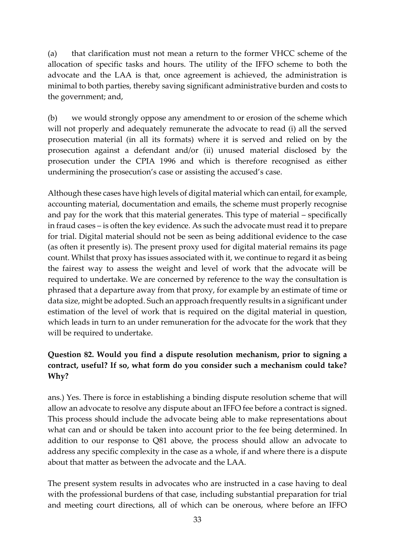(a) that clarification must not mean a return to the former VHCC scheme of the allocation of specific tasks and hours. The utility of the IFFO scheme to both the advocate and the LAA is that, once agreement is achieved, the administration is minimal to both parties, thereby saving significant administrative burden and costs to the government; and,

(b) we would strongly oppose any amendment to or erosion of the scheme which will not properly and adequately remunerate the advocate to read (i) all the served prosecution material (in all its formats) where it is served and relied on by the prosecution against a defendant and/or (ii) unused material disclosed by the prosecution under the CPIA 1996 and which is therefore recognised as either undermining the prosecution's case or assisting the accused's case.

Although these cases have high levels of digital material which can entail, for example, accounting material, documentation and emails, the scheme must properly recognise and pay for the work that this material generates. This type of material – specifically in fraud cases – is often the key evidence. As such the advocate must read it to prepare for trial. Digital material should not be seen as being additional evidence to the case (as often it presently is). The present proxy used for digital material remains its page count. Whilst that proxy has issues associated with it, we continue to regard it as being the fairest way to assess the weight and level of work that the advocate will be required to undertake. We are concerned by reference to the way the consultation is phrased that a departure away from that proxy, for example by an estimate of time or data size, might be adopted. Such an approach frequently results in a significant under estimation of the level of work that is required on the digital material in question, which leads in turn to an under remuneration for the advocate for the work that they will be required to undertake.

## **Question 82. Would you find a dispute resolution mechanism, prior to signing a contract, useful? If so, what form do you consider such a mechanism could take? Why?**

ans.) Yes. There is force in establishing a binding dispute resolution scheme that will allow an advocate to resolve any dispute about an IFFO fee before a contract is signed. This process should include the advocate being able to make representations about what can and or should be taken into account prior to the fee being determined. In addition to our response to Q81 above, the process should allow an advocate to address any specific complexity in the case as a whole, if and where there is a dispute about that matter as between the advocate and the LAA.

The present system results in advocates who are instructed in a case having to deal with the professional burdens of that case, including substantial preparation for trial and meeting court directions, all of which can be onerous, where before an IFFO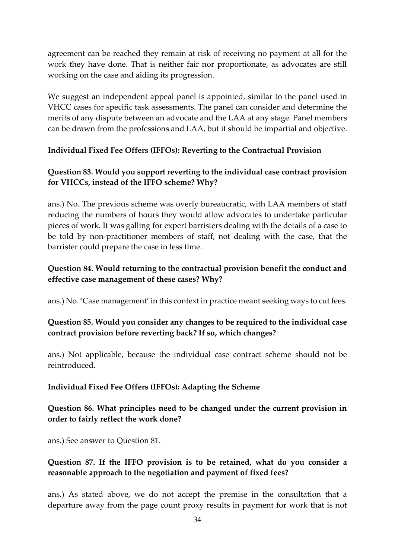agreement can be reached they remain at risk of receiving no payment at all for the work they have done. That is neither fair nor proportionate, as advocates are still working on the case and aiding its progression.

We suggest an independent appeal panel is appointed, similar to the panel used in VHCC cases for specific task assessments. The panel can consider and determine the merits of any dispute between an advocate and the LAA at any stage. Panel members can be drawn from the professions and LAA, but it should be impartial and objective.

### **Individual Fixed Fee Offers (IFFOs): Reverting to the Contractual Provision**

## **Question 83. Would you support reverting to the individual case contract provision for VHCCs, instead of the IFFO scheme? Why?**

ans.) No. The previous scheme was overly bureaucratic, with LAA members of staff reducing the numbers of hours they would allow advocates to undertake particular pieces of work. It was galling for expert barristers dealing with the details of a case to be told by non-practitioner members of staff, not dealing with the case, that the barrister could prepare the case in less time.

### **Question 84. Would returning to the contractual provision benefit the conduct and effective case management of these cases? Why?**

ans.) No. 'Case management' in this context in practice meant seeking ways to cut fees.

## **Question 85. Would you consider any changes to be required to the individual case contract provision before reverting back? If so, which changes?**

ans.) Not applicable, because the individual case contract scheme should not be reintroduced.

## **Individual Fixed Fee Offers (IFFOs): Adapting the Scheme**

### **Question 86. What principles need to be changed under the current provision in order to fairly reflect the work done?**

ans.) See answer to Question 81.

## **Question 87. If the IFFO provision is to be retained, what do you consider a reasonable approach to the negotiation and payment of fixed fees?**

ans.) As stated above, we do not accept the premise in the consultation that a departure away from the page count proxy results in payment for work that is not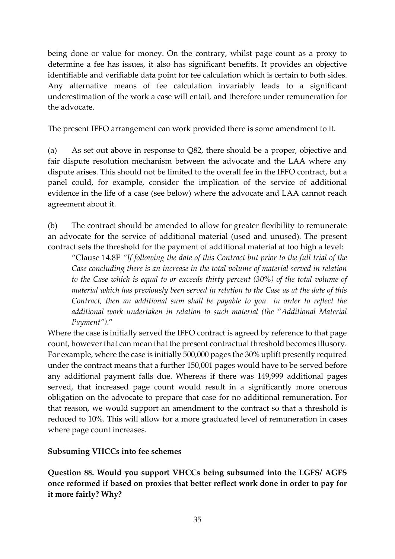being done or value for money. On the contrary, whilst page count as a proxy to determine a fee has issues, it also has significant benefits. It provides an objective identifiable and verifiable data point for fee calculation which is certain to both sides. Any alternative means of fee calculation invariably leads to a significant underestimation of the work a case will entail, and therefore under remuneration for the advocate.

The present IFFO arrangement can work provided there is some amendment to it.

(a) As set out above in response to Q82, there should be a proper, objective and fair dispute resolution mechanism between the advocate and the LAA where any dispute arises. This should not be limited to the overall fee in the IFFO contract, but a panel could, for example, consider the implication of the service of additional evidence in the life of a case (see below) where the advocate and LAA cannot reach agreement about it.

(b) The contract should be amended to allow for greater flexibility to remunerate an advocate for the service of additional material (used and unused). The present contract sets the threshold for the payment of additional material at too high a level:

"Clause 14.8E *"If following the date of this Contract but prior to the full trial of the Case concluding there is an increase in the total volume of material served in relation to the Case which is equal to or exceeds thirty percent (30%) of the total volume of material which has previously been served in relation to the Case as at the date of this Contract, then an additional sum shall be payable to you in order to reflect the additional work undertaken in relation to such material (the "Additional Material Payment")*."

Where the case is initially served the IFFO contract is agreed by reference to that page count, however that can mean that the present contractual threshold becomes illusory. For example, where the case is initially 500,000 pages the 30% uplift presently required under the contract means that a further 150,001 pages would have to be served before any additional payment falls due. Whereas if there was 149,999 additional pages served, that increased page count would result in a significantly more onerous obligation on the advocate to prepare that case for no additional remuneration. For that reason, we would support an amendment to the contract so that a threshold is reduced to 10%. This will allow for a more graduated level of remuneration in cases where page count increases.

#### **Subsuming VHCCs into fee schemes**

**Question 88. Would you support VHCCs being subsumed into the LGFS/ AGFS once reformed if based on proxies that better reflect work done in order to pay for it more fairly? Why?**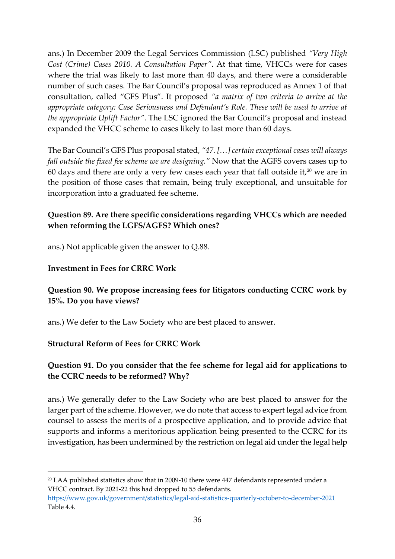ans.) In December 2009 the Legal Services Commission (LSC) published *"Very High Cost (Crime) Cases 2010. A Consultation Paper"*. At that time, VHCCs were for cases where the trial was likely to last more than 40 days, and there were a considerable number of such cases. The Bar Council's proposal was reproduced as Annex 1 of that consultation, called "GFS Plus". It proposed *"a matrix of two criteria to arrive at the appropriate category: Case Seriousness and Defendant's Role. These will be used to arrive at the appropriate Uplift Factor"*. The LSC ignored the Bar Council's proposal and instead expanded the VHCC scheme to cases likely to last more than 60 days.

The Bar Council's GFS Plus proposal stated, *"47. […] certain exceptional cases will always fall outside the fixed fee scheme we are designing."* Now that the AGFS covers cases up to 60 days and there are only a very few cases each year that fall outside it, $20$  we are in the position of those cases that remain, being truly exceptional, and unsuitable for incorporation into a graduated fee scheme.

## **Question 89. Are there specific considerations regarding VHCCs which are needed when reforming the LGFS/AGFS? Which ones?**

ans.) Not applicable given the answer to Q.88.

#### **Investment in Fees for CRRC Work**

## **Question 90. We propose increasing fees for litigators conducting CCRC work by 15%. Do you have views?**

ans.) We defer to the Law Society who are best placed to answer.

#### **Structural Reform of Fees for CRRC Work**

## **Question 91. Do you consider that the fee scheme for legal aid for applications to the CCRC needs to be reformed? Why?**

ans.) We generally defer to the Law Society who are best placed to answer for the larger part of the scheme. However, we do note that access to expert legal advice from counsel to assess the merits of a prospective application, and to provide advice that supports and informs a meritorious application being presented to the CCRC for its investigation, has been undermined by the restriction on legal aid under the legal help

<sup>20</sup> LAA published statistics show that in 2009-10 there were 447 defendants represented under a VHCC contract. By 2021-22 this had dropped to 55 defendants.

<https://www.gov.uk/government/statistics/legal-aid-statistics-quarterly-october-to-december-2021> Table 4.4.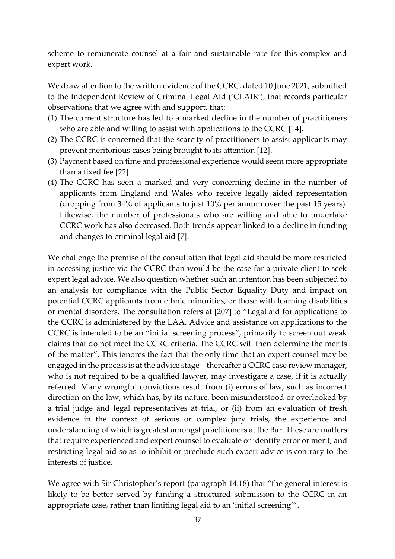scheme to remunerate counsel at a fair and sustainable rate for this complex and expert work.

We draw attention to the written evidence of the CCRC, dated 10 June 2021, submitted to the Independent Review of Criminal Legal Aid ('CLAIR'), that records particular observations that we agree with and support, that:

- (1) The current structure has led to a marked decline in the number of practitioners who are able and willing to assist with applications to the CCRC [14].
- (2) The CCRC is concerned that the scarcity of practitioners to assist applicants may prevent meritorious cases being brought to its attention [12].
- (3) Payment based on time and professional experience would seem more appropriate than a fixed fee [22].
- (4) The CCRC has seen a marked and very concerning decline in the number of applicants from England and Wales who receive legally aided representation (dropping from 34% of applicants to just 10% per annum over the past 15 years). Likewise, the number of professionals who are willing and able to undertake CCRC work has also decreased. Both trends appear linked to a decline in funding and changes to criminal legal aid [7].

We challenge the premise of the consultation that legal aid should be more restricted in accessing justice via the CCRC than would be the case for a private client to seek expert legal advice. We also question whether such an intention has been subjected to an analysis for compliance with the Public Sector Equality Duty and impact on potential CCRC applicants from ethnic minorities, or those with learning disabilities or mental disorders. The consultation refers at [207] to "Legal aid for applications to the CCRC is administered by the LAA. Advice and assistance on applications to the CCRC is intended to be an "initial screening process", primarily to screen out weak claims that do not meet the CCRC criteria. The CCRC will then determine the merits of the matter". This ignores the fact that the only time that an expert counsel may be engaged in the process is at the advice stage – thereafter a CCRC case review manager, who is not required to be a qualified lawyer, may investigate a case, if it is actually referred. Many wrongful convictions result from (i) errors of law, such as incorrect direction on the law, which has, by its nature, been misunderstood or overlooked by a trial judge and legal representatives at trial, or (ii) from an evaluation of fresh evidence in the context of serious or complex jury trials, the experience and understanding of which is greatest amongst practitioners at the Bar. These are matters that require experienced and expert counsel to evaluate or identify error or merit, and restricting legal aid so as to inhibit or preclude such expert advice is contrary to the interests of justice.

We agree with Sir Christopher's report (paragraph 14.18) that "the general interest is likely to be better served by funding a structured submission to the CCRC in an appropriate case, rather than limiting legal aid to an 'initial screening'".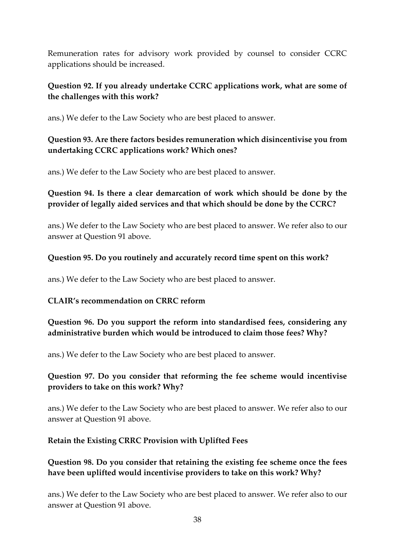Remuneration rates for advisory work provided by counsel to consider CCRC applications should be increased.

### **Question 92. If you already undertake CCRC applications work, what are some of the challenges with this work?**

ans.) We defer to the Law Society who are best placed to answer.

### **Question 93. Are there factors besides remuneration which disincentivise you from undertaking CCRC applications work? Which ones?**

ans.) We defer to the Law Society who are best placed to answer.

### **Question 94. Is there a clear demarcation of work which should be done by the provider of legally aided services and that which should be done by the CCRC?**

ans.) We defer to the Law Society who are best placed to answer. We refer also to our answer at Question 91 above.

#### **Question 95. Do you routinely and accurately record time spent on this work?**

ans.) We defer to the Law Society who are best placed to answer.

#### **CLAIR's recommendation on CRRC reform**

**Question 96. Do you support the reform into standardised fees, considering any administrative burden which would be introduced to claim those fees? Why?**

ans.) We defer to the Law Society who are best placed to answer.

### **Question 97. Do you consider that reforming the fee scheme would incentivise providers to take on this work? Why?**

ans.) We defer to the Law Society who are best placed to answer. We refer also to our answer at Question 91 above.

#### **Retain the Existing CRRC Provision with Uplifted Fees**

## **Question 98. Do you consider that retaining the existing fee scheme once the fees have been uplifted would incentivise providers to take on this work? Why?**

ans.) We defer to the Law Society who are best placed to answer. We refer also to our answer at Question 91 above.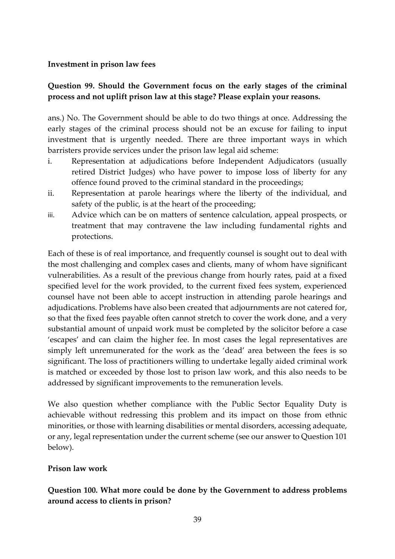#### **Investment in prison law fees**

### **Question 99. Should the Government focus on the early stages of the criminal process and not uplift prison law at this stage? Please explain your reasons.**

ans.) No. The Government should be able to do two things at once. Addressing the early stages of the criminal process should not be an excuse for failing to input investment that is urgently needed. There are three important ways in which barristers provide services under the prison law legal aid scheme:

- i. Representation at adjudications before Independent Adjudicators (usually retired District Judges) who have power to impose loss of liberty for any offence found proved to the criminal standard in the proceedings;
- ii. Representation at parole hearings where the liberty of the individual, and safety of the public, is at the heart of the proceeding;
- iii. Advice which can be on matters of sentence calculation, appeal prospects, or treatment that may contravene the law including fundamental rights and protections.

Each of these is of real importance, and frequently counsel is sought out to deal with the most challenging and complex cases and clients, many of whom have significant vulnerabilities. As a result of the previous change from hourly rates, paid at a fixed specified level for the work provided, to the current fixed fees system, experienced counsel have not been able to accept instruction in attending parole hearings and adjudications. Problems have also been created that adjournments are not catered for, so that the fixed fees payable often cannot stretch to cover the work done, and a very substantial amount of unpaid work must be completed by the solicitor before a case 'escapes' and can claim the higher fee. In most cases the legal representatives are simply left unremunerated for the work as the 'dead' area between the fees is so significant. The loss of practitioners willing to undertake legally aided criminal work is matched or exceeded by those lost to prison law work, and this also needs to be addressed by significant improvements to the remuneration levels.

We also question whether compliance with the Public Sector Equality Duty is achievable without redressing this problem and its impact on those from ethnic minorities, or those with learning disabilities or mental disorders, accessing adequate, or any, legal representation under the current scheme (see our answer to Question 101 below).

#### **Prison law work**

## **Question 100. What more could be done by the Government to address problems around access to clients in prison?**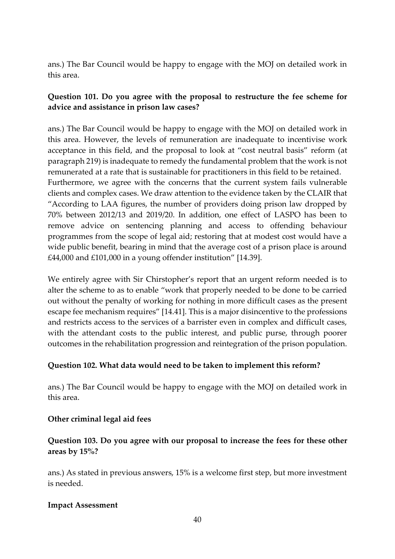ans.) The Bar Council would be happy to engage with the MOJ on detailed work in this area.

### **Question 101. Do you agree with the proposal to restructure the fee scheme for advice and assistance in prison law cases?**

ans.) The Bar Council would be happy to engage with the MOJ on detailed work in this area. However, the levels of remuneration are inadequate to incentivise work acceptance in this field, and the proposal to look at "cost neutral basis" reform (at paragraph 219) is inadequate to remedy the fundamental problem that the work is not remunerated at a rate that is sustainable for practitioners in this field to be retained. Furthermore, we agree with the concerns that the current system fails vulnerable clients and complex cases. We draw attention to the evidence taken by the CLAIR that "According to LAA figures, the number of providers doing prison law dropped by 70% between 2012/13 and 2019/20. In addition, one effect of LASPO has been to remove advice on sentencing planning and access to offending behaviour programmes from the scope of legal aid; restoring that at modest cost would have a wide public benefit, bearing in mind that the average cost of a prison place is around £44,000 and £101,000 in a young offender institution" [14.39].

We entirely agree with Sir Chirstopher's report that an urgent reform needed is to alter the scheme to as to enable "work that properly needed to be done to be carried out without the penalty of working for nothing in more difficult cases as the present escape fee mechanism requires" [14.41]. This is a major disincentive to the professions and restricts access to the services of a barrister even in complex and difficult cases, with the attendant costs to the public interest, and public purse, through poorer outcomes in the rehabilitation progression and reintegration of the prison population.

#### **Question 102. What data would need to be taken to implement this reform?**

ans.) The Bar Council would be happy to engage with the MOJ on detailed work in this area.

#### **Other criminal legal aid fees**

### **Question 103. Do you agree with our proposal to increase the fees for these other areas by 15%?**

ans.) As stated in previous answers, 15% is a welcome first step, but more investment is needed.

#### **Impact Assessment**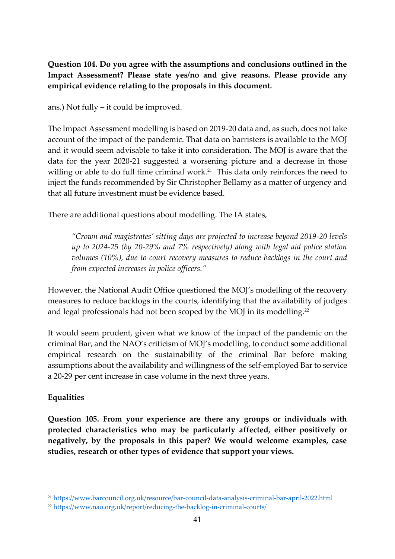**Question 104. Do you agree with the assumptions and conclusions outlined in the Impact Assessment? Please state yes/no and give reasons. Please provide any empirical evidence relating to the proposals in this document.**

ans.) Not fully – it could be improved.

The Impact Assessment modelling is based on 2019-20 data and, as such, does not take account of the impact of the pandemic. That data on barristers is available to the MOJ and it would seem advisable to take it into consideration. The MOJ is aware that the data for the year 2020-21 suggested a worsening picture and a decrease in those willing or able to do full time criminal work.<sup>21</sup> This data only reinforces the need to inject the funds recommended by Sir Christopher Bellamy as a matter of urgency and that all future investment must be evidence based.

There are additional questions about modelling. The IA states,

*"Crown and magistrates' sitting days are projected to increase beyond 2019-20 levels up to 2024-25 (by 20-29% and 7% respectively) along with legal aid police station volumes (10%), due to court recovery measures to reduce backlogs in the court and from expected increases in police officers."*

However, the National Audit Office questioned the MOJ's modelling of the recovery measures to reduce backlogs in the courts, identifying that the availability of judges and legal professionals had not been scoped by the MOJ in its modelling.<sup>22</sup>

It would seem prudent, given what we know of the impact of the pandemic on the criminal Bar, and the NAO's criticism of MOJ's modelling, to conduct some additional empirical research on the sustainability of the criminal Bar before making assumptions about the availability and willingness of the self-employed Bar to service a 20-29 per cent increase in case volume in the next three years.

## **Equalities**

**Question 105. From your experience are there any groups or individuals with protected characteristics who may be particularly affected, either positively or negatively, by the proposals in this paper? We would welcome examples, case studies, research or other types of evidence that support your views.**

<sup>21</sup> <https://www.barcouncil.org.uk/resource/bar-council-data-analysis-criminal-bar-april-2022.html>

<sup>22</sup> <https://www.nao.org.uk/report/reducing-the-backlog-in-criminal-courts/>